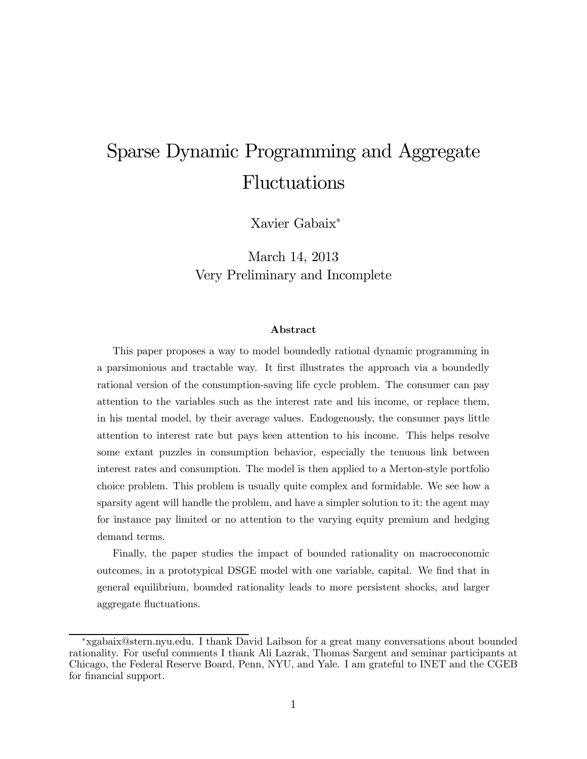# Sparse Dynamic Programming and Aggregate Fluctuations

Xavier Gabaix<sup>∗</sup>

March 14, 2013 Very Preliminary and Incomplete

#### Abstract

This paper proposes a way to model boundedly rational dynamic programming in a parsimonious and tractable way. It first illustrates the approach via a boundedly rational version of the consumption-saving life cycle problem. The consumer can pay attention to the variables such as the interest rate and his income, or replace them, in his mental model, by their average values. Endogenously, the consumer pays little attention to interest rate but pays keen attention to his income. This helps resolve some extant puzzles in consumption behavior, especially the tenuous link between interest rates and consumption. The model is then applied to a Merton-style portfolio choice problem. This problem is usually quite complex and formidable. We see how a sparsity agent will handle the problem, and have a simpler solution to it: the agent may for instance pay limited or no attention to the varying equity premium and hedging demand terms.

Finally, the paper studies the impact of bounded rationality on macroeconomic outcomes, in a prototypical DSGE model with one variable, capital. We find that in general equilibrium, bounded rationality leads to more persistent shocks, and larger aggregate fluctuations.

<sup>∗</sup>xgabaix@stern.nyu.edu. I thank David Laibson for a great many conversations about bounded rationality. For useful comments I thank Ali Lazrak, Thomas Sargent and seminar participants at Chicago, the Federal Reserve Board, Penn, NYU, and Yale. I am grateful to INET and the CGEB for financial support.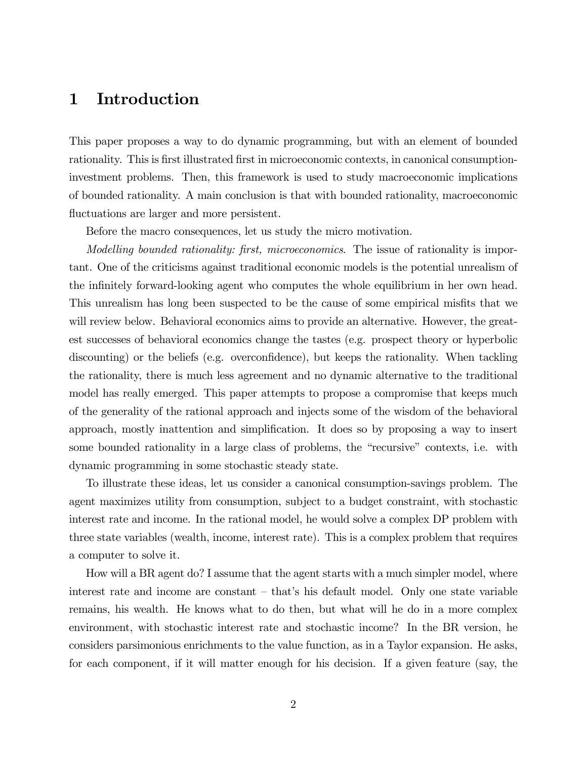## 1 Introduction

This paper proposes a way to do dynamic programming, but with an element of bounded rationality. This is first illustrated first in microeconomic contexts, in canonical consumptioninvestment problems. Then, this framework is used to study macroeconomic implications of bounded rationality. A main conclusion is that with bounded rationality, macroeconomic fluctuations are larger and more persistent.

Before the macro consequences, let us study the micro motivation.

Modelling bounded rationality: first, microeconomics. The issue of rationality is important. One of the criticisms against traditional economic models is the potential unrealism of the infinitely forward-looking agent who computes the whole equilibrium in her own head. This unrealism has long been suspected to be the cause of some empirical misfits that we will review below. Behavioral economics aims to provide an alternative. However, the greatest successes of behavioral economics change the tastes (e.g. prospect theory or hyperbolic discounting) or the beliefs (e.g. overconfidence), but keeps the rationality. When tackling the rationality, there is much less agreement and no dynamic alternative to the traditional model has really emerged. This paper attempts to propose a compromise that keeps much of the generality of the rational approach and injects some of the wisdom of the behavioral approach, mostly inattention and simplification. It does so by proposing a way to insert some bounded rationality in a large class of problems, the "recursive" contexts, i.e. with dynamic programming in some stochastic steady state.

To illustrate these ideas, let us consider a canonical consumption-savings problem. The agent maximizes utility from consumption, subject to a budget constraint, with stochastic interest rate and income. In the rational model, he would solve a complex DP problem with three state variables (wealth, income, interest rate). This is a complex problem that requires a computer to solve it.

How will a BR agent do? I assume that the agent starts with a much simpler model, where interest rate and income are constant — that's his default model. Only one state variable remains, his wealth. He knows what to do then, but what will he do in a more complex environment, with stochastic interest rate and stochastic income? In the BR version, he considers parsimonious enrichments to the value function, as in a Taylor expansion. He asks, for each component, if it will matter enough for his decision. If a given feature (say, the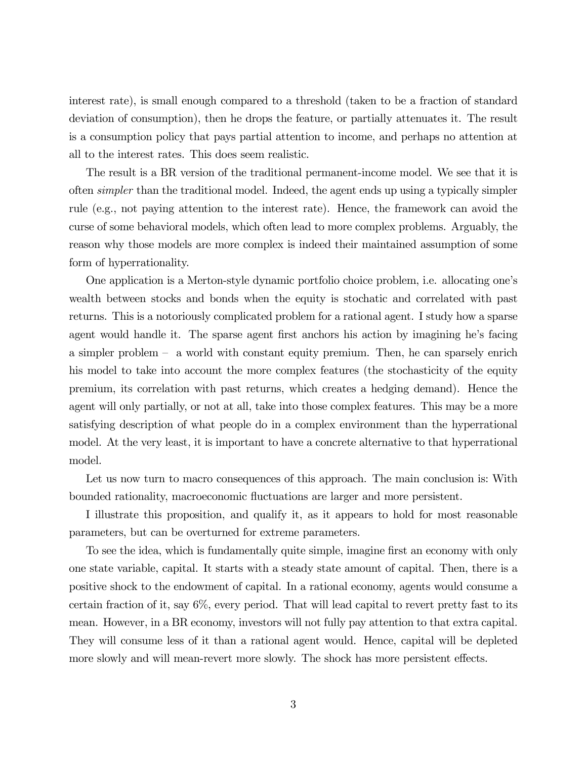interest rate), is small enough compared to a threshold (taken to be a fraction of standard deviation of consumption), then he drops the feature, or partially attenuates it. The result is a consumption policy that pays partial attention to income, and perhaps no attention at all to the interest rates. This does seem realistic.

The result is a BR version of the traditional permanent-income model. We see that it is often simpler than the traditional model. Indeed, the agent ends up using a typically simpler rule (e.g., not paying attention to the interest rate). Hence, the framework can avoid the curse of some behavioral models, which often lead to more complex problems. Arguably, the reason why those models are more complex is indeed their maintained assumption of some form of hyperrationality.

One application is a Merton-style dynamic portfolio choice problem, i.e. allocating one's wealth between stocks and bonds when the equity is stochatic and correlated with past returns. This is a notoriously complicated problem for a rational agent. I study how a sparse agent would handle it. The sparse agent first anchors his action by imagining he's facing a simpler problem — a world with constant equity premium. Then, he can sparsely enrich his model to take into account the more complex features (the stochasticity of the equity premium, its correlation with past returns, which creates a hedging demand). Hence the agent will only partially, or not at all, take into those complex features. This may be a more satisfying description of what people do in a complex environment than the hyperrational model. At the very least, it is important to have a concrete alternative to that hyperrational model.

Let us now turn to macro consequences of this approach. The main conclusion is: With bounded rationality, macroeconomic fluctuations are larger and more persistent.

I illustrate this proposition, and qualify it, as it appears to hold for most reasonable parameters, but can be overturned for extreme parameters.

To see the idea, which is fundamentally quite simple, imagine first an economy with only one state variable, capital. It starts with a steady state amount of capital. Then, there is a positive shock to the endowment of capital. In a rational economy, agents would consume a certain fraction of it, say 6%, every period. That will lead capital to revert pretty fast to its mean. However, in a BR economy, investors will not fully pay attention to that extra capital. They will consume less of it than a rational agent would. Hence, capital will be depleted more slowly and will mean-revert more slowly. The shock has more persistent effects.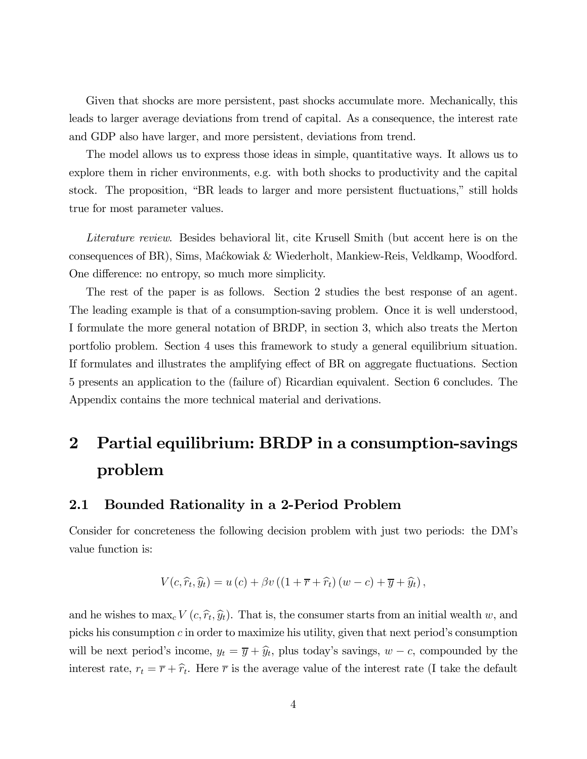Given that shocks are more persistent, past shocks accumulate more. Mechanically, this leads to larger average deviations from trend of capital. As a consequence, the interest rate and GDP also have larger, and more persistent, deviations from trend.

The model allows us to express those ideas in simple, quantitative ways. It allows us to explore them in richer environments, e.g. with both shocks to productivity and the capital stock. The proposition, "BR leads to larger and more persistent fluctuations," still holds true for most parameter values.

Literature review. Besides behavioral lit, cite Krusell Smith (but accent here is on the consequences of BR), Sims, Ma´ckowiak & Wiederholt, Mankiew-Reis, Veldkamp, Woodford. One difference: no entropy, so much more simplicity.

The rest of the paper is as follows. Section 2 studies the best response of an agent. The leading example is that of a consumption-saving problem. Once it is well understood, I formulate the more general notation of BRDP, in section 3, which also treats the Merton portfolio problem. Section 4 uses this framework to study a general equilibrium situation. If formulates and illustrates the amplifying effect of BR on aggregate fluctuations. Section 5 presents an application to the (failure of) Ricardian equivalent. Section 6 concludes. The Appendix contains the more technical material and derivations.

# 2 Partial equilibrium: BRDP in a consumption-savings problem

### 2.1 Bounded Rationality in a 2-Period Problem

Consider for concreteness the following decision problem with just two periods: the DM's value function is:

$$
V(c, \hat{r}_t, \hat{y}_t) = u(c) + \beta v ((1 + \overline{r} + \hat{r}_t) (w - c) + \overline{y} + \hat{y}_t),
$$

and he wishes to  $\max_c V(c, \hat{r}_t, \hat{y}_t)$ . That is, the consumer starts from an initial wealth w, and picks his consumption  $c$  in order to maximize his utility, given that next period's consumption will be next period's income,  $y_t = \overline{y} + \hat{y}_t$ , plus today's savings,  $w - c$ , compounded by the interest rate,  $r_t = \overline{r} + \hat{r}_t$ . Here  $\overline{r}$  is the average value of the interest rate (I take the default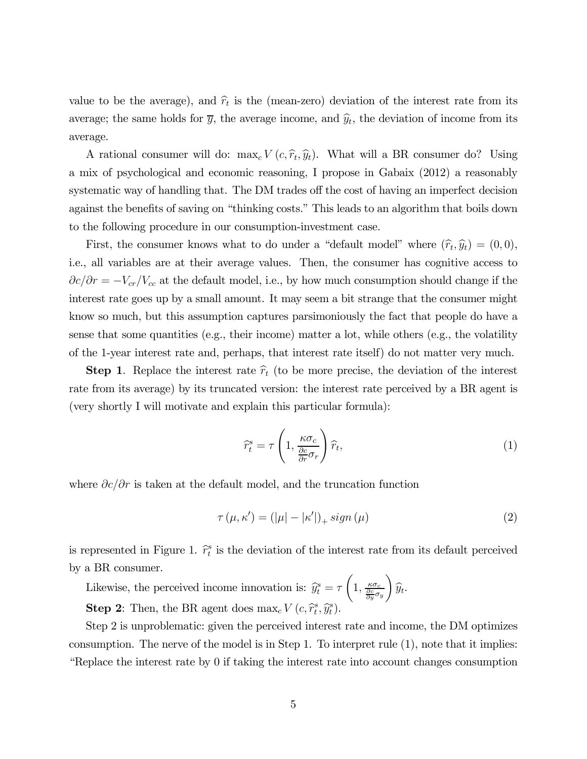value to be the average), and  $\hat{r}_t$  is the (mean-zero) deviation of the interest rate from its average; the same holds for  $\overline{y}$ , the average income, and  $\hat{y}_t$ , the deviation of income from its average.

A rational consumer will do:  $\max_c V(c, \hat{r}_t, \hat{y}_t)$ . What will a BR consumer do? Using a mix of psychological and economic reasoning, I propose in Gabaix (2012) a reasonably systematic way of handling that. The DM trades off the cost of having an imperfect decision against the benefits of saving on "thinking costs." This leads to an algorithm that boils down to the following procedure in our consumption-investment case.

First, the consumer knows what to do under a "default model" where  $(\hat{r}_t, \hat{y}_t) = (0, 0),$ i.e., all variables are at their average values. Then, the consumer has cognitive access to  $\partial c/\partial r = -V_{cr}/V_{cc}$  at the default model, i.e., by how much consumption should change if the interest rate goes up by a small amount. It may seem a bit strange that the consumer might know so much, but this assumption captures parsimoniously the fact that people do have a sense that some quantities (e.g., their income) matter a lot, while others (e.g., the volatility of the 1-year interest rate and, perhaps, that interest rate itself) do not matter very much.

**Step 1.** Replace the interest rate  $\hat{r}_t$  (to be more precise, the deviation of the interest rate from its average) by its truncated version: the interest rate perceived by a BR agent is (very shortly I will motivate and explain this particular formula):

$$
\widehat{r}_t^s = \tau \left( 1, \frac{\kappa \sigma_c}{\frac{\partial c}{\partial r} \sigma_r} \right) \widehat{r}_t,\tag{1}
$$

where  $\partial c/\partial r$  is taken at the default model, and the truncation function

$$
\tau(\mu, \kappa') = (|\mu| - |\kappa'|)_+ \operatorname{sign}(\mu) \tag{2}
$$

is represented in Figure 1.  $\hat{r}_t^s$  is the deviation of the interest rate from its default perceived by a BR consumer.

Likewise, the perceived income innovation is:  $\hat{y}_t^s = \tau$ µ  $1, \frac{\kappa \sigma_c}{\frac{\partial c}{\partial y} \sigma_y}$  $\setminus$  $\widehat{y}_t$ . **Step 2:** Then, the BR agent does  $\max_c V(c, \hat{r}_t^s, \hat{y}_t^s)$ .

Step 2 is unproblematic: given the perceived interest rate and income, the DM optimizes consumption. The nerve of the model is in Step 1. To interpret rule (1), note that it implies: "Replace the interest rate by 0 if taking the interest rate into account changes consumption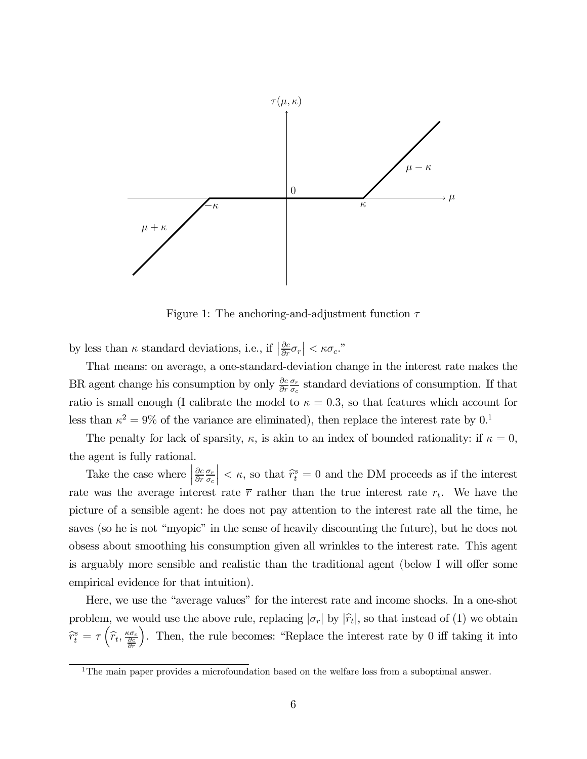

Figure 1: The anchoring-and-adjustment function  $\tau$ 

by less than  $\kappa$  standard deviations, i.e., if  $\left|\frac{\partial c}{\partial r}\sigma_r\right| < \kappa \sigma_c$ ."

That means: on average, a one-standard-deviation change in the interest rate makes the BR agent change his consumption by only  $\frac{\partial c}{\partial r}$  $\frac{\sigma_r}{\sigma_c}$  standard deviations of consumption. If that ratio is small enough (I calibrate the model to  $\kappa = 0.3$ , so that features which account for less than  $\kappa^2 = 9\%$  of the variance are eliminated), then replace the interest rate by 0.<sup>1</sup>

The penalty for lack of sparsity,  $\kappa$ , is akin to an index of bounded rationality: if  $\kappa = 0$ , the agent is fully rational.

Take the case where  $\Big\vert$  $\partial c$  $\partial r$  $\sigma_r$  $\sigma_c$  $\vert < \kappa$ , so that  $\widehat{r}_t^s = 0$  and the DM proceeds as if the interest rate was the average interest rate  $\bar{r}$  rather than the true interest rate  $r_t$ . We have the picture of a sensible agent: he does not pay attention to the interest rate all the time, he saves (so he is not "myopic" in the sense of heavily discounting the future), but he does not obsess about smoothing his consumption given all wrinkles to the interest rate. This agent is arguably more sensible and realistic than the traditional agent (below I will offer some empirical evidence for that intuition).

Here, we use the "average values" for the interest rate and income shocks. In a one-shot problem, we would use the above rule, replacing  $|\sigma_r|$  by  $|\hat{r}_t|$ , so that instead of (1) we obtain  $\widehat{r}_{t}^{s}=\tau\left(\widehat{r}_{t},\frac{\kappa\sigma_{c}}{\frac{\partial c}{\partial r}}\right)$ ´ . Then, the rule becomes: "Replace the interest rate by 0 iff taking it into

<sup>&</sup>lt;sup>1</sup>The main paper provides a microfoundation based on the welfare loss from a suboptimal answer.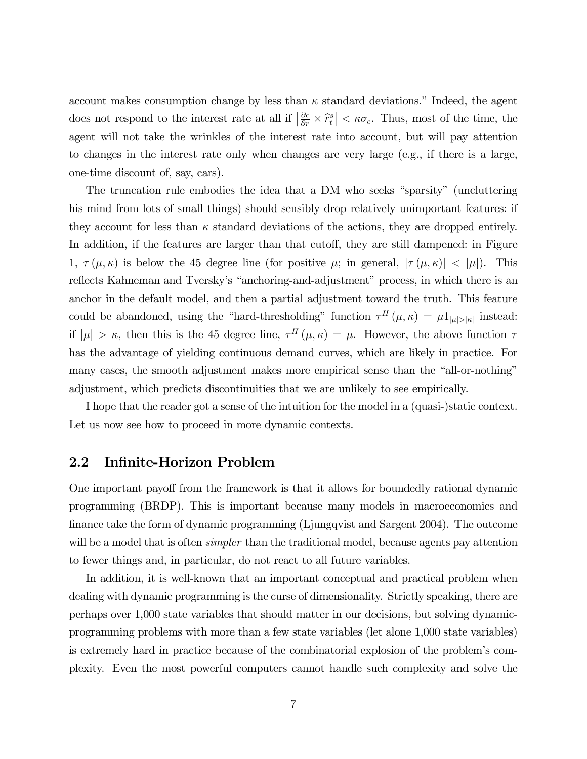account makes consumption change by less than  $\kappa$  standard deviations." Indeed, the agent does not respond to the interest rate at all if  $\left|\frac{\partial c}{\partial r} \times \hat{r}_t^s\right| < \kappa \sigma_c$ . Thus, most of the time, the agent will not take the wrinkles of the interest rate into account, but will pay attention to changes in the interest rate only when changes are very large (e.g., if there is a large, one-time discount of, say, cars).

The truncation rule embodies the idea that a DM who seeks "sparsity" (uncluttering his mind from lots of small things) should sensibly drop relatively unimportant features: if they account for less than  $\kappa$  standard deviations of the actions, they are dropped entirely. In addition, if the features are larger than that cutoff, they are still dampened: in Figure 1,  $\tau(\mu,\kappa)$  is below the 45 degree line (for positive  $\mu$ ; in general,  $|\tau(\mu,\kappa)| < |\mu|$ ). This reflects Kahneman and Tversky's "anchoring-and-adjustment" process, in which there is an anchor in the default model, and then a partial adjustment toward the truth. This feature could be abandoned, using the "hard-thresholding" function  $\tau^H(\mu,\kappa) = \mu 1_{|\mu| > |\kappa|}$  instead: if  $|\mu| > \kappa$ , then this is the 45 degree line,  $\tau^H(\mu, \kappa) = \mu$ . However, the above function  $\tau$ has the advantage of yielding continuous demand curves, which are likely in practice. For many cases, the smooth adjustment makes more empirical sense than the "all-or-nothing" adjustment, which predicts discontinuities that we are unlikely to see empirically.

I hope that the reader got a sense of the intuition for the model in a (quasi-)static context. Let us now see how to proceed in more dynamic contexts.

#### 2.2 Infinite-Horizon Problem

One important payoff from the framework is that it allows for boundedly rational dynamic programming (BRDP). This is important because many models in macroeconomics and finance take the form of dynamic programming (Ljungqvist and Sargent 2004). The outcome will be a model that is often *simpler* than the traditional model, because agents pay attention to fewer things and, in particular, do not react to all future variables.

In addition, it is well-known that an important conceptual and practical problem when dealing with dynamic programming is the curse of dimensionality. Strictly speaking, there are perhaps over 1,000 state variables that should matter in our decisions, but solving dynamicprogramming problems with more than a few state variables (let alone 1,000 state variables) is extremely hard in practice because of the combinatorial explosion of the problem's complexity. Even the most powerful computers cannot handle such complexity and solve the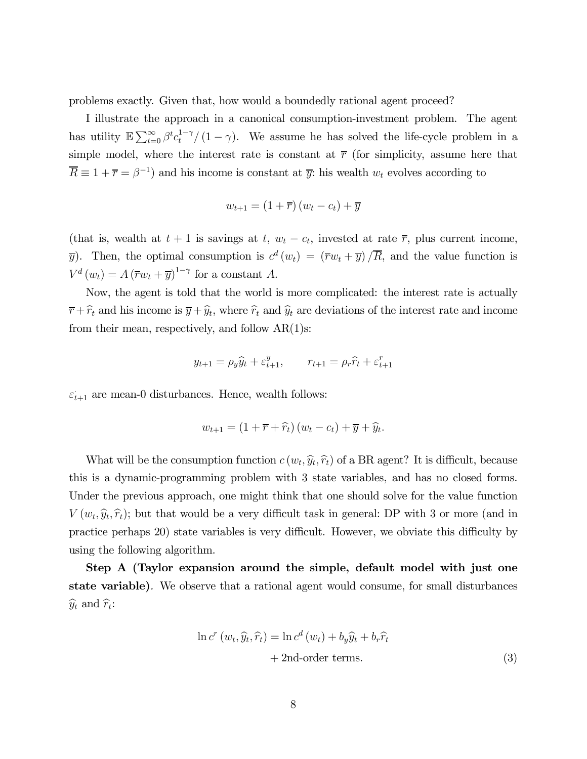problems exactly. Given that, how would a boundedly rational agent proceed?

I illustrate the approach in a canonical consumption-investment problem. The agent has utility  $\mathbb{E}\sum_{t=0}^{\infty}\beta^{t}c_{t}^{1-\gamma}/(1-\gamma)$ . We assume he has solved the life-cycle problem in a simple model, where the interest rate is constant at  $\bar{r}$  (for simplicity, assume here that  $\overline{R} \equiv 1 + \overline{r} = \beta^{-1}$  and his income is constant at  $\overline{y}$ : his wealth  $w_t$  evolves according to

$$
w_{t+1} = (1 + \overline{r})(w_t - c_t) + \overline{y}
$$

(that is, wealth at  $t + 1$  is savings at  $t$ ,  $w_t - c_t$ , invested at rate  $\overline{r}$ , plus current income,  $\overline{y}$ ). Then, the optimal consumption is  $c^d(w_t) = (\overline{r}w_t + \overline{y})/\overline{R}$ , and the value function is  $V^d(w_t) = A (\overline{r}w_t + \overline{y})^{1-\gamma}$  for a constant A.

Now, the agent is told that the world is more complicated: the interest rate is actually  $\bar{r}+\hat{r}_t$  and his income is  $\bar{y}+\hat{y}_t$ , where  $\hat{r}_t$  and  $\hat{y}_t$  are deviations of the interest rate and income from their mean, respectively, and follow  $AR(1)$ s:

$$
y_{t+1} = \rho_y \hat{y}_t + \varepsilon_{t+1}^y, \qquad r_{t+1} = \rho_r \hat{r}_t + \varepsilon_{t+1}^r
$$

 $\varepsilon_{t+1}$  are mean-0 disturbances. Hence, wealth follows:

$$
w_{t+1} = (1 + \overline{r} + \widehat{r}_t) (w_t - c_t) + \overline{y} + \widehat{y}_t.
$$

What will be the consumption function  $c(w_t, \hat{y}_t, \hat{r}_t)$  of a BR agent? It is difficult, because this is a dynamic-programming problem with 3 state variables, and has no closed forms. Under the previous approach, one might think that one should solve for the value function  $V(w_t, \hat{y}_t, \hat{r}_t)$ ; but that would be a very difficult task in general: DP with 3 or more (and in practice perhaps 20) state variables is very difficult. However, we obviate this difficulty by using the following algorithm.

Step A (Taylor expansion around the simple, default model with just one state variable). We observe that a rational agent would consume, for small disturbances  $\widehat{y}_t$  and  $\widehat{r}_t$ :

$$
\ln c^{r} (w_{t}, \hat{y}_{t}, \hat{r}_{t}) = \ln c^{d} (w_{t}) + b_{y} \hat{y}_{t} + b_{r} \hat{r}_{t}
$$
  
+ 2nd-order terms. (3)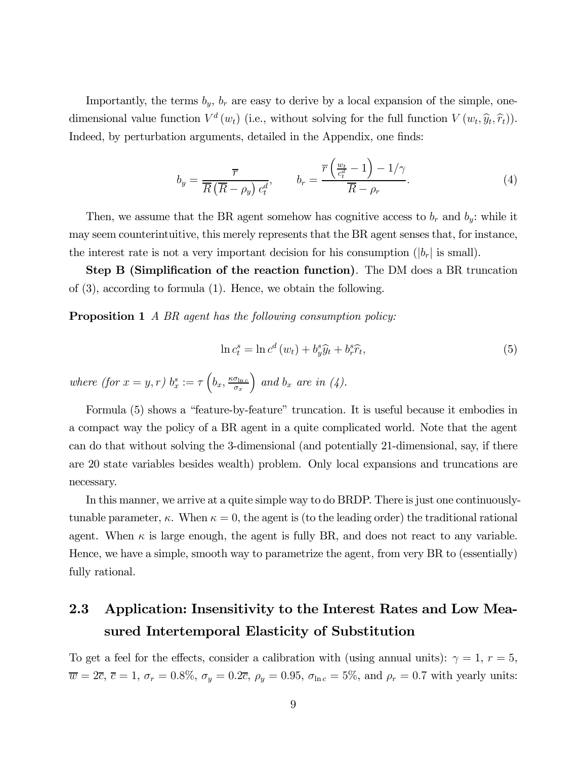Importantly, the terms  $b_y$ ,  $b_r$  are easy to derive by a local expansion of the simple, onedimensional value function  $V^d(w_t)$  (i.e., without solving for the full function  $V(w_t, \hat{y}_t, \hat{r}_t)$ ). Indeed, by perturbation arguments, detailed in the Appendix, one finds:

$$
b_y = \frac{\overline{r}}{\overline{R}(\overline{R} - \rho_y)c_t^d}, \qquad b_r = \frac{\overline{r}\left(\frac{w_t}{c_t^d} - 1\right) - 1/\gamma}{\overline{R} - \rho_r}.
$$
 (4)

Then, we assume that the BR agent somehow has cognitive access to  $b_r$  and  $b_y$ : while it may seem counterintuitive, this merely represents that the BR agent senses that, for instance, the interest rate is not a very important decision for his consumption  $(|b_r|)$  is small).

Step B (Simplification of the reaction function). The DM does a BR truncation of (3), according to formula (1). Hence, we obtain the following.

**Proposition 1** A BR agent has the following consumption policy:

$$
\ln c_t^s = \ln c^d \left( w_t \right) + b_y^s \hat{y}_t + b_r^s \hat{r}_t, \tag{5}
$$

where (for  $x = y, r$ )  $b_x^s := \tau \left( b_x, \frac{\kappa \sigma_{\ln c}}{\sigma_x} \right)$ ) and  $b_x$  are in (4).

Formula (5) shows a "feature-by-feature" truncation. It is useful because it embodies in a compact way the policy of a BR agent in a quite complicated world. Note that the agent can do that without solving the 3-dimensional (and potentially 21-dimensional, say, if there are 20 state variables besides wealth) problem. Only local expansions and truncations are necessary.

In this manner, we arrive at a quite simple way to do BRDP. There is just one continuouslytunable parameter,  $\kappa$ . When  $\kappa = 0$ , the agent is (to the leading order) the traditional rational agent. When  $\kappa$  is large enough, the agent is fully BR, and does not react to any variable. Hence, we have a simple, smooth way to parametrize the agent, from very BR to (essentially) fully rational.

## 2.3 Application: Insensitivity to the Interest Rates and Low Measured Intertemporal Elasticity of Substitution

To get a feel for the effects, consider a calibration with (using annual units):  $\gamma = 1, r = 5$ ,  $\overline{w} = 2\overline{c}, \overline{c} = 1, \sigma_r = 0.8\%, \sigma_y = 0.2\overline{c}, \rho_y = 0.95, \sigma_{\ln c} = 5\%, \text{ and } \rho_r = 0.7 \text{ with yearly units:}$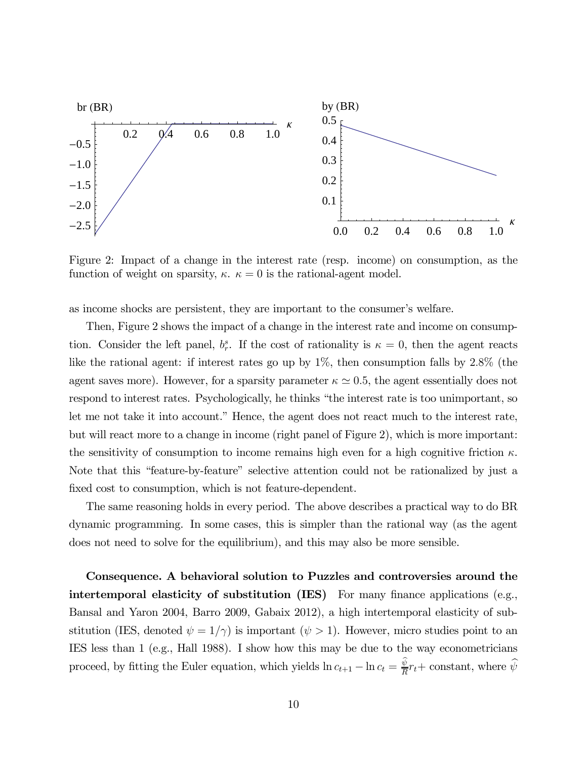

Figure 2: Impact of a change in the interest rate (resp. income) on consumption, as the function of weight on sparsity,  $\kappa$ .  $\kappa = 0$  is the rational-agent model.

as income shocks are persistent, they are important to the consumer's welfare.

Then, Figure 2 shows the impact of a change in the interest rate and income on consumption. Consider the left panel,  $b_r^s$ . If the cost of rationality is  $\kappa = 0$ , then the agent reacts like the rational agent: if interest rates go up by 1\%, then consumption falls by 2.8\% (the agent saves more). However, for a sparsity parameter  $\kappa \simeq 0.5$ , the agent essentially does not respond to interest rates. Psychologically, he thinks "the interest rate is too unimportant, so let me not take it into account." Hence, the agent does not react much to the interest rate, but will react more to a change in income (right panel of Figure 2), which is more important: the sensitivity of consumption to income remains high even for a high cognitive friction  $\kappa$ . Note that this "feature-by-feature" selective attention could not be rationalized by just a fixed cost to consumption, which is not feature-dependent.

The same reasoning holds in every period. The above describes a practical way to do BR dynamic programming. In some cases, this is simpler than the rational way (as the agent does not need to solve for the equilibrium), and this may also be more sensible.

Consequence. A behavioral solution to Puzzles and controversies around the intertemporal elasticity of substitution (IES) For many finance applications (e.g., Bansal and Yaron 2004, Barro 2009, Gabaix 2012), a high intertemporal elasticity of substitution (IES, denoted  $\psi = 1/\gamma$ ) is important  $(\psi > 1)$ . However, micro studies point to an IES less than 1 (e.g., Hall 1988). I show how this may be due to the way econometricians proceed, by fitting the Euler equation, which yields  $\ln c_{t+1} - \ln c_t = \frac{\psi}{R} r_t + \text{constant}$ , where  $\widehat{\psi}$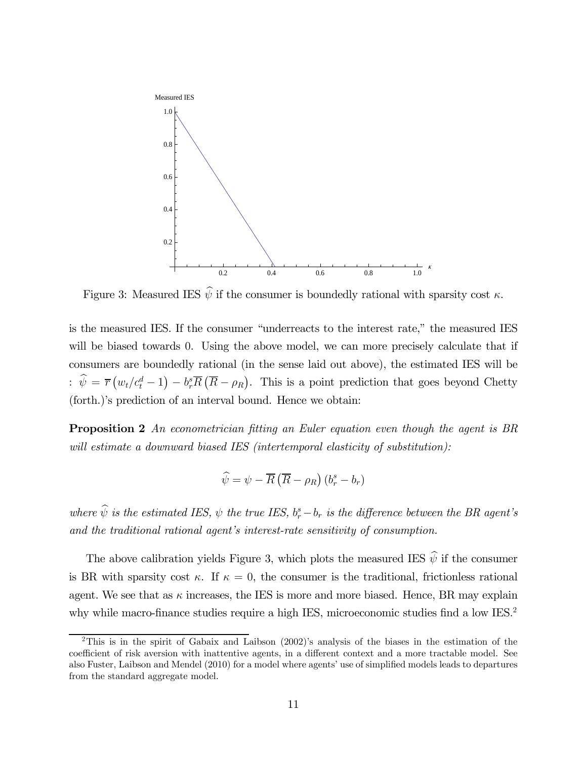

Figure 3: Measured IES  $\hat{\psi}$  if the consumer is boundedly rational with sparsity cost  $\kappa$ .

is the measured IES. If the consumer "underreacts to the interest rate," the measured IES will be biased towards 0. Using the above model, we can more precisely calculate that if consumers are boundedly rational (in the sense laid out above), the estimated IES will be :  $\hat{\psi} = \overline{r}(w_t/c_t^d - 1) - b_r^s \overline{R}(\overline{R} - \rho_R)$ . This is a point prediction that goes beyond Chetty (forth.)'s prediction of an interval bound. Hence we obtain:

**Proposition 2** An econometrician fitting an Euler equation even though the agent is BR will estimate a downward biased IES (intertemporal elasticity of substitution):

$$
\widehat{\psi} = \psi - \overline{R} \left( \overline{R} - \rho_R \right) \left( b_r^s - b_r \right)
$$

where  $\hat{\psi}$  is the estimated IES,  $\psi$  the true IES,  $b_r^s - b_r$  is the difference between the BR agent's and the traditional rational agent's interest-rate sensitivity of consumption.

The above calibration yields Figure 3, which plots the measured IES  $\hat{\psi}$  if the consumer is BR with sparsity cost  $\kappa$ . If  $\kappa = 0$ , the consumer is the traditional, frictionless rational agent. We see that as  $\kappa$  increases, the IES is more and more biased. Hence, BR may explain why while macro-finance studies require a high IES, microeconomic studies find a low IES.<sup>2</sup>

<sup>2</sup>This is in the spirit of Gabaix and Laibson (2002)'s analysis of the biases in the estimation of the coefficient of risk aversion with inattentive agents, in a different context and a more tractable model. See also Fuster, Laibson and Mendel (2010) for a model where agents' use of simplified models leads to departures from the standard aggregate model.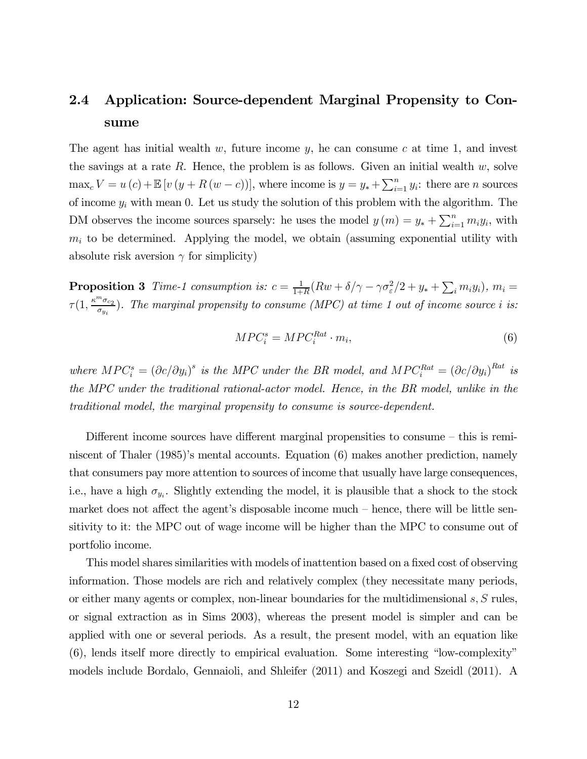## 2.4 Application: Source-dependent Marginal Propensity to Consume

The agent has initial wealth  $w$ , future income  $y$ , he can consume  $c$  at time 1, and invest the savings at a rate R. Hence, the problem is as follows. Given an initial wealth  $w$ , solve  $\max_{c} V = u(c) + \mathbb{E}[v(y + R(w - c))]$ , where income is  $y = y_* + \sum_{i=1}^{n} y_i$ : there are *n* sources of income  $y_i$  with mean 0. Let us study the solution of this problem with the algorithm. The DM observes the income sources sparsely: he uses the model  $y(m) = y_* + \sum_{i=1}^n m_i y_i$ , with  $m_i$  to be determined. Applying the model, we obtain (assuming exponential utility with absolute risk aversion  $\gamma$  for simplicity)

**Proposition 3** Time-1 consumption is:  $c = \frac{1}{1+R}(Rw + \delta/\gamma - \gamma \sigma_{\varepsilon}^2/2 + y_* + \sum_i m_i y_i), m_i =$  $\tau(1, \frac{\kappa^m \sigma_{c_2}}{\sigma_{y_i}})$ . The marginal propensity to consume (MPC) at time 1 out of income source i is:

$$
MPC_i^s = MPC_i^{Rat} \cdot m_i,\tag{6}
$$

where  $MPC_i^s = (\partial c/\partial y_i)^s$  is the MPC under the BR model, and  $MPC_i^{Rat} = (\partial c/\partial y_i)^{Rat}$  is the MPC under the traditional rational-actor model. Hence, in the BR model, unlike in the traditional model, the marginal propensity to consume is source-dependent.

Different income sources have different marginal propensities to consume — this is reminiscent of Thaler (1985)'s mental accounts. Equation (6) makes another prediction, namely that consumers pay more attention to sources of income that usually have large consequences, i.e., have a high  $\sigma_{y_i}$ . Slightly extending the model, it is plausible that a shock to the stock market does not affect the agent's disposable income much — hence, there will be little sensitivity to it: the MPC out of wage income will be higher than the MPC to consume out of portfolio income.

This model shares similarities with models of inattention based on a fixed cost of observing information. Those models are rich and relatively complex (they necessitate many periods, or either many agents or complex, non-linear boundaries for the multidimensional  $s, S$  rules, or signal extraction as in Sims 2003), whereas the present model is simpler and can be applied with one or several periods. As a result, the present model, with an equation like (6), lends itself more directly to empirical evaluation. Some interesting "low-complexity" models include Bordalo, Gennaioli, and Shleifer (2011) and Koszegi and Szeidl (2011). A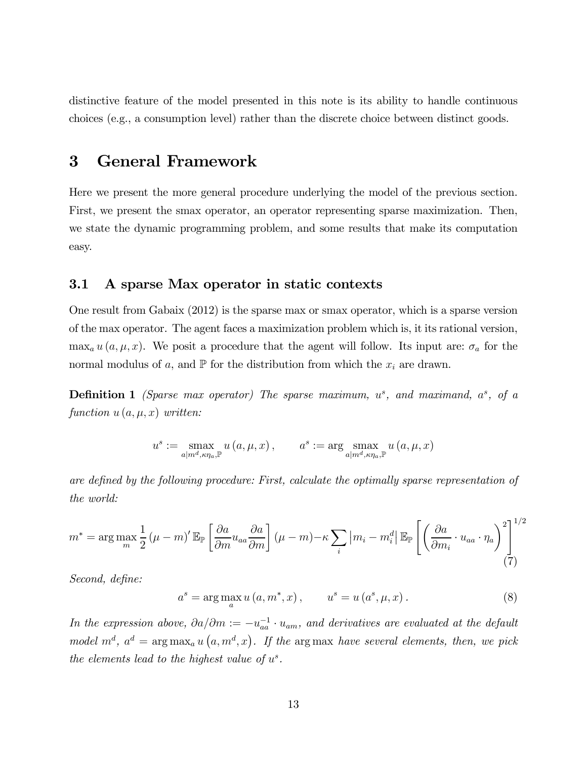distinctive feature of the model presented in this note is its ability to handle continuous choices (e.g., a consumption level) rather than the discrete choice between distinct goods.

### 3 General Framework

Here we present the more general procedure underlying the model of the previous section. First, we present the smax operator, an operator representing sparse maximization. Then, we state the dynamic programming problem, and some results that make its computation easy.

#### 3.1 A sparse Max operator in static contexts

One result from Gabaix (2012) is the sparse max or smax operator, which is a sparse version of the max operator. The agent faces a maximization problem which is, it its rational version,  $\max_a u(a,\mu,x)$ . We posit a procedure that the agent will follow. Its input are:  $\sigma_a$  for the normal modulus of a, and  $\mathbb P$  for the distribution from which the  $x_i$  are drawn.

**Definition 1** (Sparse max operator) The sparse maximum,  $u^s$ , and maximand,  $a^s$ , of a function  $u(a, \mu, x)$  written:

$$
u^{s} := \max_{a|m^{d}, \kappa \eta_{a}, \mathbb{P}} u(a, \mu, x), \qquad a^{s} := \arg \max_{a|m^{d}, \kappa \eta_{a}, \mathbb{P}} u(a, \mu, x)
$$

are defined by the following procedure: First, calculate the optimally sparse representation of the world:

$$
m^* = \arg \max_{m} \frac{1}{2} (\mu - m)' \mathbb{E}_{\mathbb{P}} \left[ \frac{\partial a}{\partial m} u_{aa} \frac{\partial a}{\partial m} \right] (\mu - m) - \kappa \sum_{i} |m_i - m_i^d| \mathbb{E}_{\mathbb{P}} \left[ \left( \frac{\partial a}{\partial m_i} \cdot u_{aa} \cdot \eta_a \right)^2 \right]^{1/2} \tag{7}
$$

Second, define:

$$
a^{s} = \arg \max_{a} u(a, m^{*}, x), \qquad u^{s} = u(a^{s}, \mu, x).
$$
 (8)

In the expression above,  $\partial a/\partial m := -u_{aa}^{-1} \cdot u_{am}$ , and derivatives are evaluated at the default model  $m^d$ ,  $a^d = \arg \max_a u(a, m^d, x)$ . If the argmax have several elements, then, we pick the elements lead to the highest value of  $u^s$ .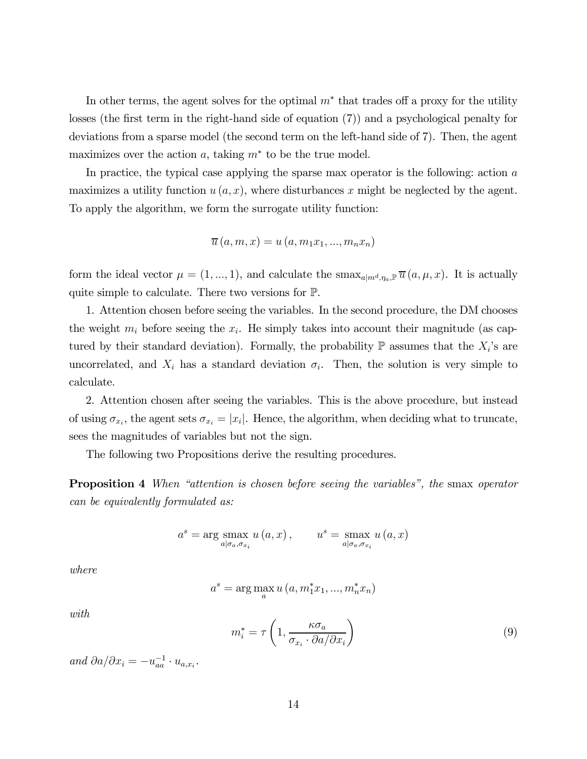In other terms, the agent solves for the optimal  $m^*$  that trades off a proxy for the utility losses (the first term in the right-hand side of equation (7)) and a psychological penalty for deviations from a sparse model (the second term on the left-hand side of 7). Then, the agent maximizes over the action  $a$ , taking  $m^*$  to be the true model.

In practice, the typical case applying the sparse max operator is the following: action  $a$ maximizes a utility function  $u(a, x)$ , where disturbances x might be neglected by the agent. To apply the algorithm, we form the surrogate utility function:

$$
\overline{u}(a,m,x) = u(a,m_1x_1,...,m_nx_n)
$$

form the ideal vector  $\mu = (1, ..., 1)$ , and calculate the smax<sub>a|m<sup>d</sup>,  $\eta_a \in \overline{u}$   $(a, \mu, x)$ . It is actually</sub> quite simple to calculate. There two versions for P.

1. Attention chosen before seeing the variables. In the second procedure, the DM chooses the weight  $m_i$  before seeing the  $x_i$ . He simply takes into account their magnitude (as captured by their standard deviation). Formally, the probability  $\mathbb P$  assumes that the  $X_i$ 's are uncorrelated, and  $X_i$  has a standard deviation  $\sigma_i$ . Then, the solution is very simple to calculate.

2. Attention chosen after seeing the variables. This is the above procedure, but instead of using  $\sigma_{x_i}$ , the agent sets  $\sigma_{x_i} = |x_i|$ . Hence, the algorithm, when deciding what to truncate, sees the magnitudes of variables but not the sign.

The following two Propositions derive the resulting procedures.

**Proposition 4** When "attention is chosen before seeing the variables", the smax operator can be equivalently formulated as:

$$
a^{s} = \arg \max_{a | \sigma_a, \sigma_{x_i}} u(a, x), \qquad u^{s} = \max_{a | \sigma_a, \sigma_{x_i}} u(a, x)
$$

where

$$
a^{s} = \arg\max_{a} u(a, m_{1}^{*}x_{1}, ..., m_{n}^{*}x_{n})
$$

with

$$
m_i^* = \tau \left( 1, \frac{\kappa \sigma_a}{\sigma_{x_i} \cdot \partial a / \partial x_i} \right) \tag{9}
$$

and  $\partial a/\partial x_i = -u_{aa}^{-1} \cdot u_{a,x_i}$ .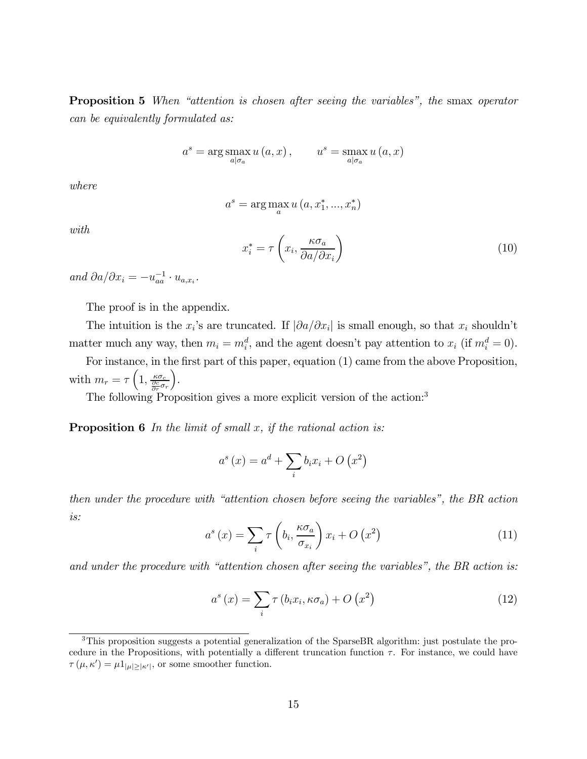Proposition 5 When "attention is chosen after seeing the variables", the smax operator can be equivalently formulated as:

$$
a^{s} = \arg \max_{a | \sigma_a} u(a, x), \qquad u^{s} = \max_{a | \sigma_a} u(a, x)
$$

where

$$
a^s = \arg\max_a u(a, x_1^*, ..., x_n^*)
$$

with

$$
x_i^* = \tau \left( x_i, \frac{\kappa \sigma_a}{\partial a / \partial x_i} \right) \tag{10}
$$

and  $\partial a/\partial x_i = -u_{aa}^{-1} \cdot u_{a,x_i}$ .

The proof is in the appendix.

The intuition is the  $x_i$ 's are truncated. If  $|\partial a/\partial x_i|$  is small enough, so that  $x_i$  shouldn't matter much any way, then  $m_i = m_i^d$ , and the agent doesn't pay attention to  $x_i$  (if  $m_i^d = 0$ ).

For instance, in the first part of this paper, equation (1) came from the above Proposition, with  $m_r = \tau \left( 1, \frac{\kappa \sigma_c}{\frac{\partial c}{\partial r} \sigma_r} \right)$ ´ .

The following Proposition gives a more explicit version of the action:<sup>3</sup>

**Proposition 6** In the limit of small  $x$ , if the rational action is:

$$
a^{s}(x) = a^{d} + \sum_{i} b_{i}x_{i} + O(x^{2})
$$

then under the procedure with "attention chosen before seeing the variables", the BR action is:

$$
a^{s}(x) = \sum_{i} \tau \left(b_{i}, \frac{\kappa \sigma_{a}}{\sigma_{x_{i}}}\right) x_{i} + O\left(x^{2}\right)
$$
\n(11)

and under the procedure with "attention chosen after seeing the variables", the BR action is:

$$
a^{s}(x) = \sum_{i} \tau(b_{i}x_{i}, \kappa\sigma_{a}) + O(x^{2})
$$
\n(12)

<sup>3</sup>This proposition suggests a potential generalization of the SparseBR algorithm: just postulate the procedure in the Propositions, with potentially a different truncation function  $\tau$ . For instance, we could have  $\tau(\mu, \kappa') = \mu \mathbb{1}_{|\mu| \ge |\kappa'|}$ , or some smoother function.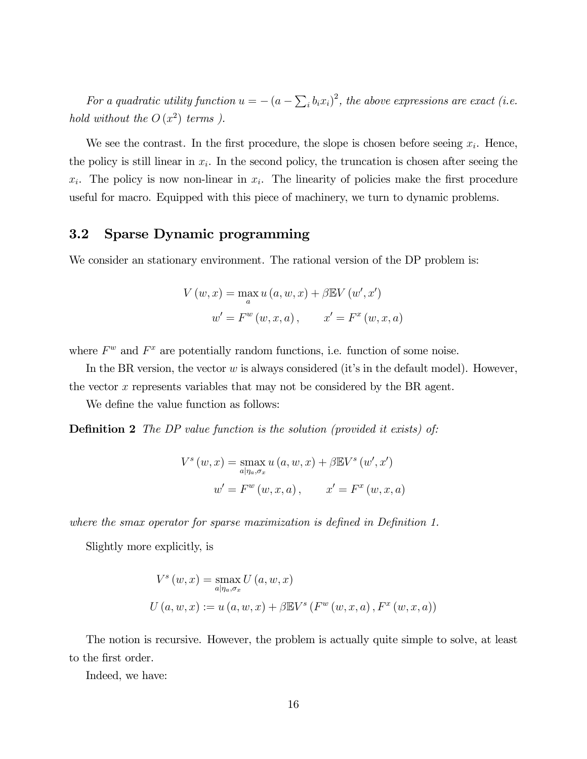For a quadratic utility function  $u = -(a - \sum_i b_i x_i)^2$ , the above expressions are exact (i.e. hold without the  $O(x^2)$  terms ).

We see the contrast. In the first procedure, the slope is chosen before seeing  $x_i$ . Hence, the policy is still linear in  $x_i$ . In the second policy, the truncation is chosen after seeing the  $x_i$ . The policy is now non-linear in  $x_i$ . The linearity of policies make the first procedure useful for macro. Equipped with this piece of machinery, we turn to dynamic problems.

### 3.2 Sparse Dynamic programming

We consider an stationary environment. The rational version of the DP problem is:

$$
V(w, x) = \max_{a} u(a, w, x) + \beta \mathbb{E} V(w', x')
$$

$$
w' = F^{w}(w, x, a), \qquad x' = F^{x}(w, x, a)
$$

where  $F^w$  and  $F^x$  are potentially random functions, i.e. function of some noise.

In the BR version, the vector  $w$  is always considered (it's in the default model). However, the vector  $x$  represents variables that may not be considered by the BR agent.

We define the value function as follows:

Definition 2 The DP value function is the solution (provided it exists) of:

$$
V^{s}(w, x) = \max_{a|\eta_{a}, \sigma_{x}} u(a, w, x) + \beta \mathbb{E} V^{s}(w', x')
$$

$$
w' = F^{w}(w, x, a), \qquad x' = F^{x}(w, x, a)
$$

where the smax operator for sparse maximization is defined in Definition 1.

Slightly more explicitly, is

$$
V^{s}(w, x) = \max_{a|\eta_{a}, \sigma_{x}} U(a, w, x)
$$
  
 
$$
U(a, w, x) := u(a, w, x) + \beta \mathbb{E} V^{s}(F^{w}(w, x, a), F^{x}(w, x, a))
$$

The notion is recursive. However, the problem is actually quite simple to solve, at least to the first order.

Indeed, we have: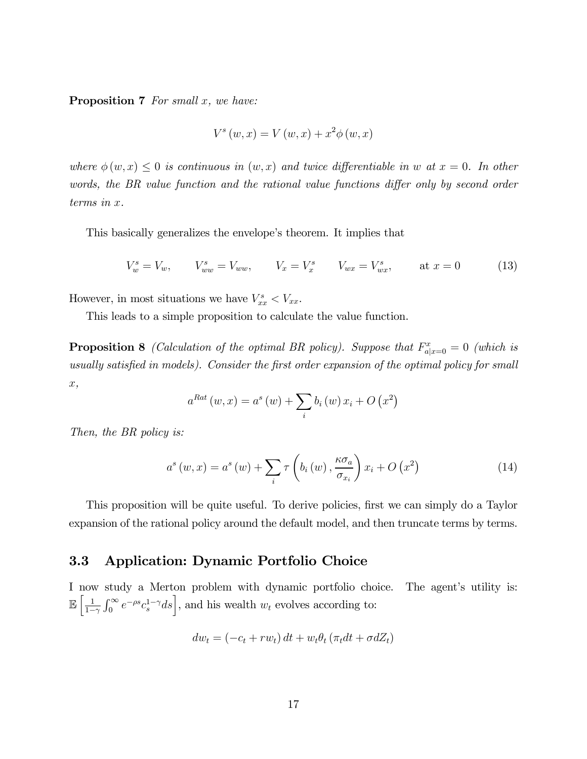**Proposition 7** For small  $x$ , we have:

$$
V^{s}(w, x) = V(w, x) + x^{2} \phi(w, x)
$$

where  $\phi(w, x) \leq 0$  is continuous in  $(w, x)$  and twice differentiable in w at  $x = 0$ . In other words, the BR value function and the rational value functions differ only by second order  $terms in x.$ 

This basically generalizes the envelope's theorem. It implies that

$$
V_w^s = V_w, \t V_{ww}^s = V_{ww}, \t V_x = V_x^s \t V_{wx} = V_{wx}^s, \t at x = 0 \t (13)
$$

However, in most situations we have  $V_{xx}^s < V_{xx}$ .

This leads to a simple proposition to calculate the value function.

**Proposition 8** (Calculation of the optimal BR policy). Suppose that  $F_{a|x=0}^x = 0$  (which is usually satisfied in models). Consider the first order expansion of the optimal policy for small ,

$$
a^{Rat}(w, x) = a^{s}(w) + \sum_{i} b_{i}(w) x_{i} + O(x^{2})
$$

Then, the BR policy is:

$$
a^{s}(w,x) = a^{s}(w) + \sum_{i} \tau \left(b_{i}(w), \frac{\kappa \sigma_{a}}{\sigma_{x_{i}}}\right) x_{i} + O(x^{2})
$$
\n(14)

This proposition will be quite useful. To derive policies, first we can simply do a Taylor expansion of the rational policy around the default model, and then truncate terms by terms.

#### 3.3 Application: Dynamic Portfolio Choice

I now study a Merton problem with dynamic portfolio choice. The agent's utility is:  $\mathbb{E}\left[\frac{1}{1-\right]}$  $1-\gamma$  $\int_0^\infty e^{-\rho s} c_s^{1-\gamma} ds$ , and his wealth  $w_t$  evolves according to:

$$
dw_t = (-c_t + rw_t) dt + w_t \theta_t (\pi_t dt + \sigma dZ_t)
$$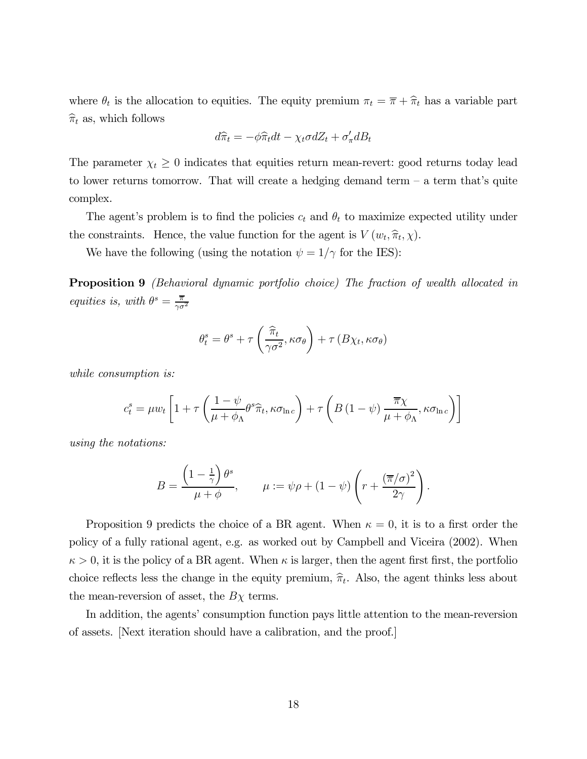where  $\theta_t$  is the allocation to equities. The equity premium  $\pi_t = \overline{\pi} + \hat{\pi}_t$  has a variable part  $\hat{\pi}_t$  as, which follows

$$
d\widehat{\pi}_t = -\phi \widehat{\pi}_t dt - \chi_t \sigma dZ_t + \sigma'_\pi dB_t
$$

The parameter  $\chi_t \geq 0$  indicates that equities return mean-revert: good returns today lead to lower returns tomorrow. That will create a hedging demand term  $-$  a term that's quite complex.

The agent's problem is to find the policies  $c_t$  and  $\theta_t$  to maximize expected utility under the constraints. Hence, the value function for the agent is  $V(w_t, \hat{\pi}_t, \chi)$ .

We have the following (using the notation  $\psi = 1/\gamma$  for the IES):

Proposition 9 (Behavioral dynamic portfolio choice) The fraction of wealth allocated in equities is, with  $\theta^s = \frac{\overline{\pi}}{\gamma \sigma^2}$ 

$$
\theta_t^s = \theta^s + \tau \left( \frac{\hat{\pi}_t}{\gamma \sigma^2}, \kappa \sigma_\theta \right) + \tau \left( B \chi_t, \kappa \sigma_\theta \right)
$$

while consumption is:

$$
c_t^s = \mu w_t \left[ 1 + \tau \left( \frac{1 - \psi}{\mu + \phi_\Lambda} \theta^s \hat{\pi}_t, \kappa \sigma_{\ln c} \right) + \tau \left( B \left( 1 - \psi \right) \frac{\overline{\pi} \chi}{\mu + \phi_\Lambda}, \kappa \sigma_{\ln c} \right) \right]
$$

using the notations:

$$
B = \frac{\left(1 - \frac{1}{\gamma}\right)\theta^s}{\mu + \phi}, \qquad \mu := \psi \rho + (1 - \psi) \left(r + \frac{(\overline{\pi}/\sigma)^2}{2\gamma}\right).
$$

Proposition 9 predicts the choice of a BR agent. When  $\kappa = 0$ , it is to a first order the policy of a fully rational agent, e.g. as worked out by Campbell and Viceira (2002). When  $\kappa > 0$ , it is the policy of a BR agent. When  $\kappa$  is larger, then the agent first first, the portfolio choice reflects less the change in the equity premium,  $\hat{\pi}_t$ . Also, the agent thinks less about the mean-reversion of asset, the  $B\chi$  terms.

In addition, the agents' consumption function pays little attention to the mean-reversion of assets. [Next iteration should have a calibration, and the proof.]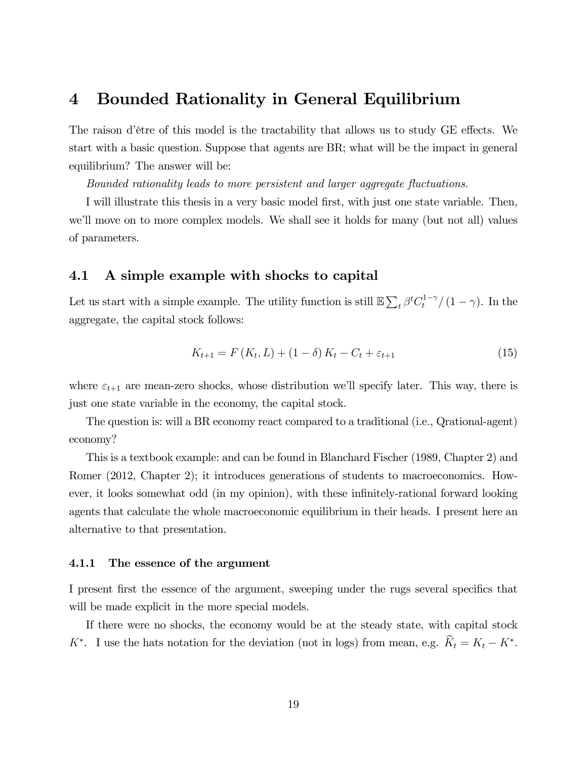### 4 Bounded Rationality in General Equilibrium

The raison d'être of this model is the tractability that allows us to study GE effects. We start with a basic question. Suppose that agents are BR; what will be the impact in general equilibrium? The answer will be:

Bounded rationality leads to more persistent and larger aggregate fluctuations.

I will illustrate this thesis in a very basic model first, with just one state variable. Then, we'll move on to more complex models. We shall see it holds for many (but not all) values of parameters.

#### 4.1 A simple example with shocks to capital

Let us start with a simple example. The utility function is still  $\mathbb{E}\sum_{t} \beta^{t} C_{t}^{1-\gamma}/(1-\gamma)$ . In the aggregate, the capital stock follows:

$$
K_{t+1} = F(K_t, L) + (1 - \delta) K_t - C_t + \varepsilon_{t+1}
$$
\n(15)

where  $\varepsilon_{t+1}$  are mean-zero shocks, whose distribution we'll specify later. This way, there is just one state variable in the economy, the capital stock.

The question is: will a BR economy react compared to a traditional (i.e., Qrational-agent) economy?

This is a textbook example: and can be found in Blanchard Fischer (1989, Chapter 2) and Romer (2012, Chapter 2); it introduces generations of students to macroeconomics. However, it looks somewhat odd (in my opinion), with these infinitely-rational forward looking agents that calculate the whole macroeconomic equilibrium in their heads. I present here an alternative to that presentation.

#### 4.1.1 The essence of the argument

I present first the essence of the argument, sweeping under the rugs several specifics that will be made explicit in the more special models.

If there were no shocks, the economy would be at the steady state, with capital stock  $K^*$ . I use the hats notation for the deviation (not in logs) from mean, e.g.  $\hat{K}_t = K_t - K^*$ .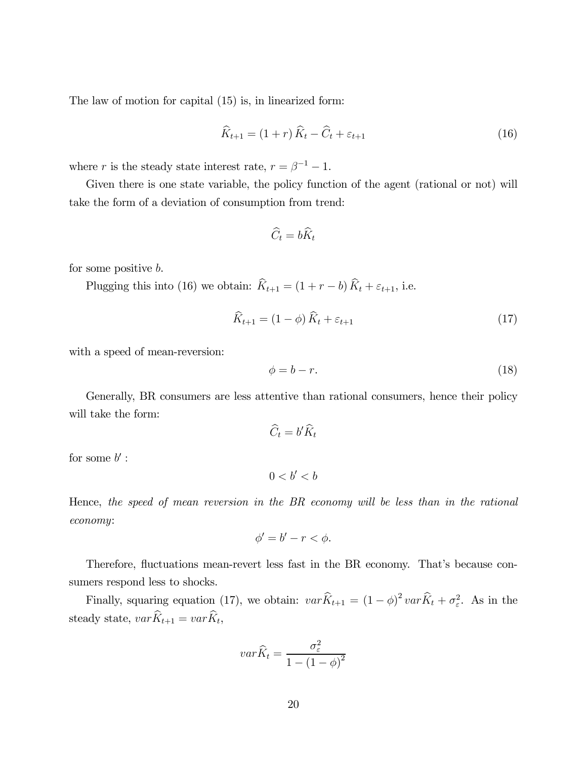The law of motion for capital (15) is, in linearized form:

$$
\widehat{K}_{t+1} = (1+r)\widehat{K}_t - \widehat{C}_t + \varepsilon_{t+1}
$$
\n(16)

where  $r$  is the steady state interest rate,  $r=\beta^{-1}-1.$ 

Given there is one state variable, the policy function of the agent (rational or not) will take the form of a deviation of consumption from trend:

$$
\widehat{C}_t = b\widehat{K}_t
$$

for some positive  $b$ .

Plugging this into (16) we obtain:  $\widehat{K}_{t+1} = (1 + r - b) \widehat{K}_t + \varepsilon_{t+1}$ , i.e.

$$
\widehat{K}_{t+1} = (1 - \phi) \widehat{K}_t + \varepsilon_{t+1} \tag{17}
$$

with a speed of mean-reversion:

$$
\phi = b - r. \tag{18}
$$

Generally, BR consumers are less attentive than rational consumers, hence their policy will take the form:

$$
\widehat{C}_t = b' \widehat{K}_t
$$

for some  $b'$  :

$$
0
$$

Hence, the speed of mean reversion in the BR economy will be less than in the rational economy:

$$
\phi'=b'-r<\phi.
$$

Therefore, fluctuations mean-revert less fast in the BR economy. That's because consumers respond less to shocks.

Finally, squaring equation (17), we obtain:  $var \hat{K}_{t+1} = (1 - \phi)^2 var \hat{K}_t + \sigma_{\varepsilon}^2$ . As in the steady state,  $var \hat{K}_{t+1} = var \hat{K}_{t}$ ,

$$
var\hat{K}_t = \frac{\sigma_\varepsilon^2}{1 - (1 - \phi)^2}
$$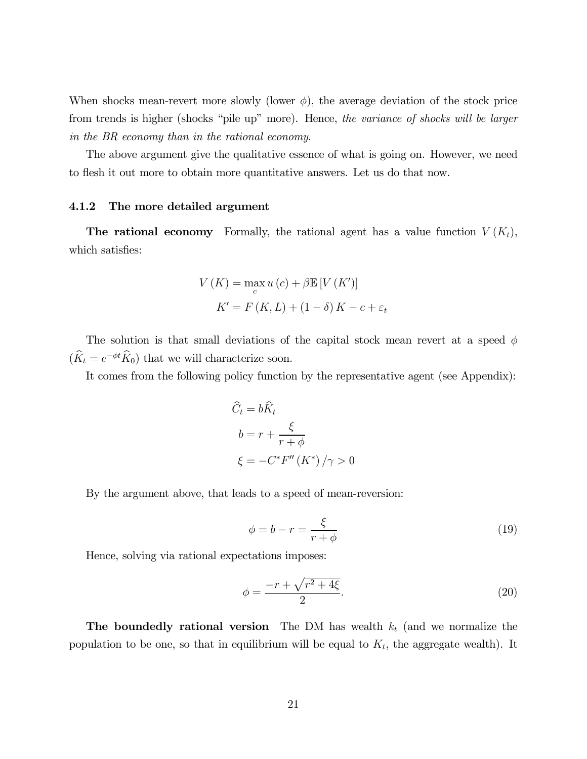When shocks mean-revert more slowly (lower  $\phi$ ), the average deviation of the stock price from trends is higher (shocks "pile up" more). Hence, the variance of shocks will be larger in the BR economy than in the rational economy.

The above argument give the qualitative essence of what is going on. However, we need to flesh it out more to obtain more quantitative answers. Let us do that now.

#### 4.1.2 The more detailed argument

**The rational economy** Formally, the rational agent has a value function  $V(K_t)$ , which satisfies:

$$
V(K) = \max_{c} u(c) + \beta \mathbb{E}[V(K')]
$$

$$
K' = F(K, L) + (1 - \delta)K - c + \varepsilon_t
$$

The solution is that small deviations of the capital stock mean revert at a speed  $\phi$  $(\widehat K_t = e^{-\phi t} \widehat K_0)$  that we will characterize soon.

It comes from the following policy function by the representative agent (see Appendix):

$$
\widehat{C}_t = b\widehat{K}_t
$$

$$
b = r + \frac{\xi}{r + \phi}
$$

$$
\xi = -C^* F''(K^*) / \gamma > 0
$$

By the argument above, that leads to a speed of mean-reversion:

$$
\phi = b - r = \frac{\xi}{r + \phi} \tag{19}
$$

Hence, solving via rational expectations imposes:

$$
\phi = \frac{-r + \sqrt{r^2 + 4\xi}}{2}.
$$
\n(20)

The boundedly rational version The DM has wealth  $k_t$  (and we normalize the population to be one, so that in equilibrium will be equal to  $K_t$ , the aggregate wealth). It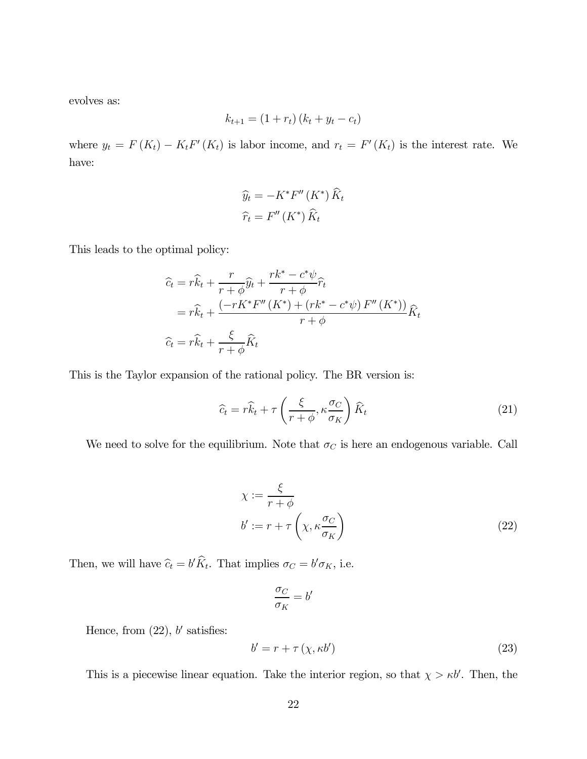evolves as:

$$
k_{t+1} = (1 + r_t) (k_t + y_t - c_t)
$$

where  $y_t = F(K_t) - K_t F'(K_t)$  is labor income, and  $r_t = F'(K_t)$  is the interest rate. We have:

$$
\widehat{y}_t = -K^* F''(K^*) \widehat{K}_t
$$

$$
\widehat{r}_t = F''(K^*) \widehat{K}_t
$$

This leads to the optimal policy:

$$
\begin{aligned}\n\widehat{c}_t &= r\widehat{k}_t + \frac{r}{r+\phi}\widehat{y}_t + \frac{rk^* - c^*\psi}{r+\phi}\widehat{r}_t \\
&= r\widehat{k}_t + \frac{(-rK^*F''(K^*) + (rk^* - c^*\psi)F''(K^*))}{r+\phi}\widehat{K}_t \\
\widehat{c}_t &= r\widehat{k}_t + \frac{\xi}{r+\phi}\widehat{K}_t\n\end{aligned}
$$

This is the Taylor expansion of the rational policy. The BR version is:

$$
\widehat{c}_t = r\widehat{k}_t + \tau \left(\frac{\xi}{r+\phi}, \kappa \frac{\sigma_C}{\sigma_K}\right) \widehat{K}_t \tag{21}
$$

We need to solve for the equilibrium. Note that  $\sigma_C$  is here an endogenous variable. Call

$$
\chi := \frac{\xi}{r + \phi}
$$
  
\n
$$
b' := r + \tau \left(\chi, \kappa \frac{\sigma_C}{\sigma_K}\right)
$$
\n(22)

Then, we will have  $\hat{c}_t = b'K_t$ . That implies  $\sigma_C = b'\sigma_K$ , i.e.

$$
\frac{\sigma_C}{\sigma_K} = b'
$$

Hence, from  $(22)$ , b' satisfies:

$$
b' = r + \tau \left( \chi, \kappa b' \right) \tag{23}
$$

This is a piecewise linear equation. Take the interior region, so that  $\chi > \kappa b'$ . Then, the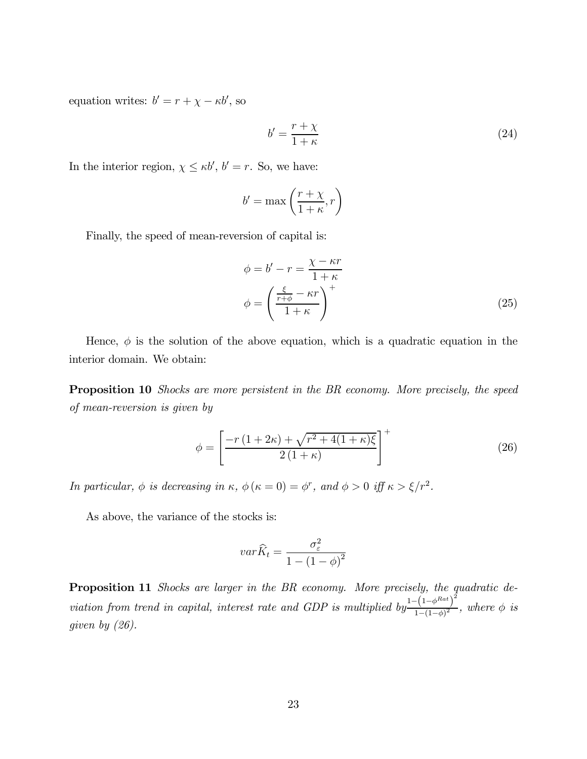equation writes:  $b' = r + \chi - \kappa b'$ , so

$$
b' = \frac{r + \chi}{1 + \kappa} \tag{24}
$$

In the interior region,  $\chi \le \kappa b'$ ,  $b' = r$ . So, we have:

$$
b'=\max\left(\frac{r+\chi}{1+\kappa},r\right)
$$

Finally, the speed of mean-reversion of capital is:

$$
\phi = b' - r = \frac{\chi - \kappa r}{1 + \kappa}
$$

$$
\phi = \left(\frac{\frac{\xi}{r + \phi} - \kappa r}{1 + \kappa}\right)^{+}
$$
(25)

Hence,  $\phi$  is the solution of the above equation, which is a quadratic equation in the interior domain. We obtain:

Proposition 10 Shocks are more persistent in the BR economy. More precisely, the speed of mean-reversion is given by

$$
\phi = \left[\frac{-r\left(1+2\kappa\right) + \sqrt{r^2 + 4(1+\kappa)\xi}}{2\left(1+\kappa\right)}\right]^+\tag{26}
$$

In particular,  $\phi$  is decreasing in  $\kappa$ ,  $\phi (\kappa = 0) = \phi^r$ , and  $\phi > 0$  iff  $\kappa > \xi / r^2$ .

As above, the variance of the stocks is:

$$
var\hat{K}_t = \frac{\sigma_\varepsilon^2}{1 - (1 - \phi)^2}
$$

Proposition 11 Shocks are larger in the BR economy. More precisely, the quadratic deviation from trend in capital, interest rate and GDP is multiplied by  $\frac{1-(1-\phi^{Rat})^2}{(1-\phi)^2}$  $\frac{(1-\varphi)}{1-(1-\phi)^2}$ , where  $\phi$  is given by (26).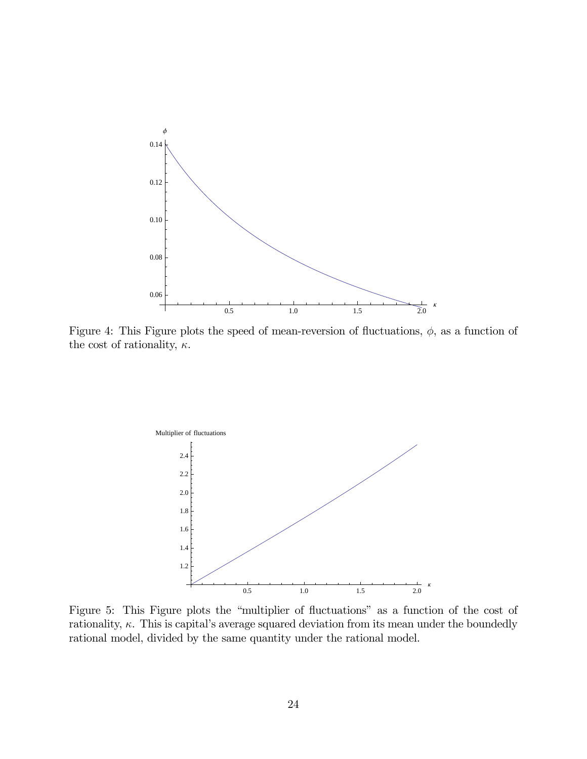

Figure 4: This Figure plots the speed of mean-reversion of fluctuations,  $\phi$ , as a function of the cost of rationality,  $\kappa$ .



Figure 5: This Figure plots the "multiplier of fluctuations" as a function of the cost of rationality,  $\kappa$ . This is capital's average squared deviation from its mean under the boundedly rational model, divided by the same quantity under the rational model.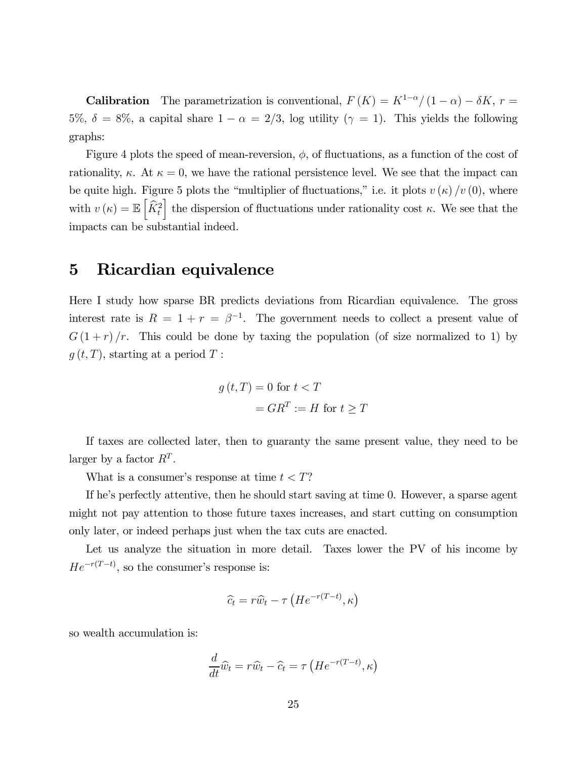**Calibration** The parametrization is conventional,  $F(K) = K^{1-\alpha}/(1-\alpha) - \delta K$ ,  $r =$ 5%,  $\delta = 8\%$ , a capital share  $1 - \alpha = 2/3$ , log utility  $(\gamma = 1)$ . This yields the following graphs:

Figure 4 plots the speed of mean-reversion,  $\phi$ , of fluctuations, as a function of the cost of rationality,  $\kappa$ . At  $\kappa = 0$ , we have the rational persistence level. We see that the impact can be quite high. Figure 5 plots the "multiplier of fluctuations," i.e. it plots  $v(\kappa) / v(0)$ , where with  $v(\kappa) = \mathbb{E}\left[\widehat{K}_t^2\right]$ the dispersion of fluctuations under rationality cost  $\kappa$ . We see that the impacts can be substantial indeed.

### 5 Ricardian equivalence

Here I study how sparse BR predicts deviations from Ricardian equivalence. The gross interest rate is  $R = 1 + r = \beta^{-1}$ . The government needs to collect a present value of  $G(1 + r)/r$ . This could be done by taxing the population (of size normalized to 1) by  $g(t, T)$ , starting at a period T:

$$
g(t,T) = 0 \text{ for } t < T
$$

$$
= GR^{T} := H \text{ for } t \geq T
$$

If taxes are collected later, then to guaranty the same present value, they need to be larger by a factor  $R^T$ .

What is a consumer's response at time  $t < T$ ?

If he's perfectly attentive, then he should start saving at time 0. However, a sparse agent might not pay attention to those future taxes increases, and start cutting on consumption only later, or indeed perhaps just when the tax cuts are enacted.

Let us analyze the situation in more detail. Taxes lower the PV of his income by  $He^{-r(T-t)}$ , so the consumer's response is:

$$
\widehat{c}_t = r\widehat{w}_t - \tau \left( He^{-r(T-t)}, \kappa \right)
$$

so wealth accumulation is:

$$
\frac{d}{dt}\widehat{w}_t = r\widehat{w}_t - \widehat{c}_t = \tau \left( He^{-r(T-t)}, \kappa \right)
$$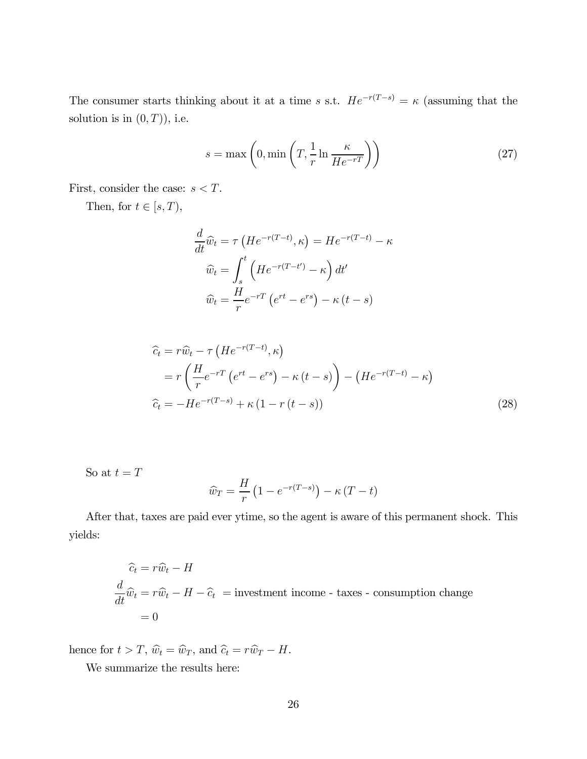The consumer starts thinking about it at a time s s.t.  $He^{-r(T-s)} = \kappa$  (assuming that the solution is in  $(0, T)$ ), i.e.

$$
s = \max\left(0, \min\left(T, \frac{1}{r} \ln \frac{\kappa}{He^{-r}}\right)\right) \tag{27}
$$

First, consider the case:  $s < T$ .

Then, for  $t\in [s,T),$ 

$$
\frac{d}{dt}\hat{w}_t = \tau \left( He^{-r(T-t)}, \kappa \right) = He^{-r(T-t)} - \kappa
$$

$$
\hat{w}_t = \int_s^t \left( He^{-r(T-t')} - \kappa \right) dt'
$$

$$
\hat{w}_t = \frac{H}{r} e^{-rT} \left( e^{rt} - e^{rs} \right) - \kappa \left( t - s \right)
$$

$$
\begin{aligned}\n\widehat{c}_t &= r\widehat{w}_t - \tau \left( He^{-r(T-t)}, \kappa \right) \\
&= r \left( \frac{H}{r} e^{-rT} \left( e^{rt} - e^{rs} \right) - \kappa \left( t - s \right) \right) - \left( He^{-r(T-t)} - \kappa \right) \\
\widehat{c}_t &= -He^{-r(T-s)} + \kappa \left( 1 - r \left( t - s \right) \right)\n\end{aligned} \tag{28}
$$

So at  $t = T$ 

$$
\widehat{w}_T = \frac{H}{r} \left( 1 - e^{-r(T-s)} \right) - \kappa \left( T - t \right)
$$

After that, taxes are paid ever ytime, so the agent is aware of this permanent shock. This yields:

$$
\begin{aligned}\n\hat{c}_t &= r\hat{w}_t - H \\
\frac{d}{dt}\hat{w}_t &= r\hat{w}_t - H - \hat{c}_t\n\end{aligned}
$$
 = investment income - taxes - consumption change  
= 0

hence for  $t > T$ ,  $\widehat{w}_t = \widehat{w}_T$ , and  $\widehat{c}_t = r\widehat{w}_T - H$ .

We summarize the results here: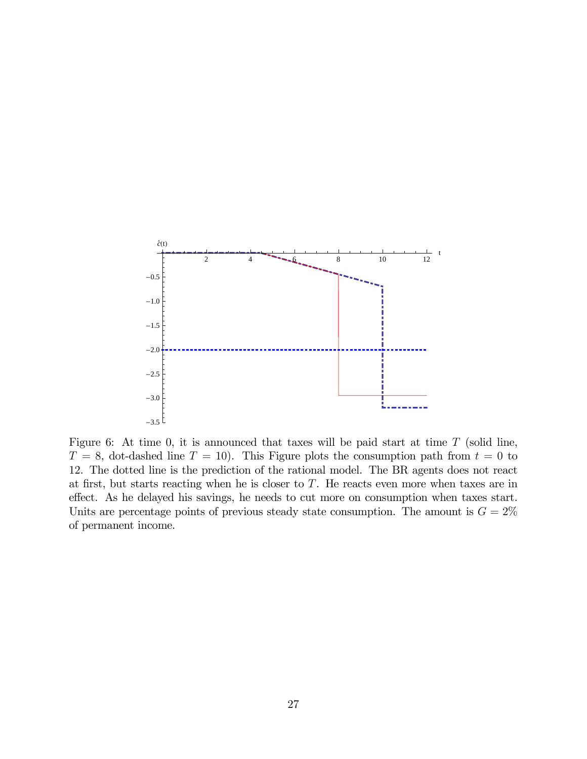

Figure 6: At time 0, it is announced that taxes will be paid start at time  $T$  (solid line,  $T = 8$ , dot-dashed line  $T = 10$ ). This Figure plots the consumption path from  $t = 0$  to 12. The dotted line is the prediction of the rational model. The BR agents does not react at first, but starts reacting when he is closer to  $T$ . He reacts even more when taxes are in effect. As he delayed his savings, he needs to cut more on consumption when taxes start. Units are percentage points of previous steady state consumption. The amount is  $G = 2\%$ of permanent income.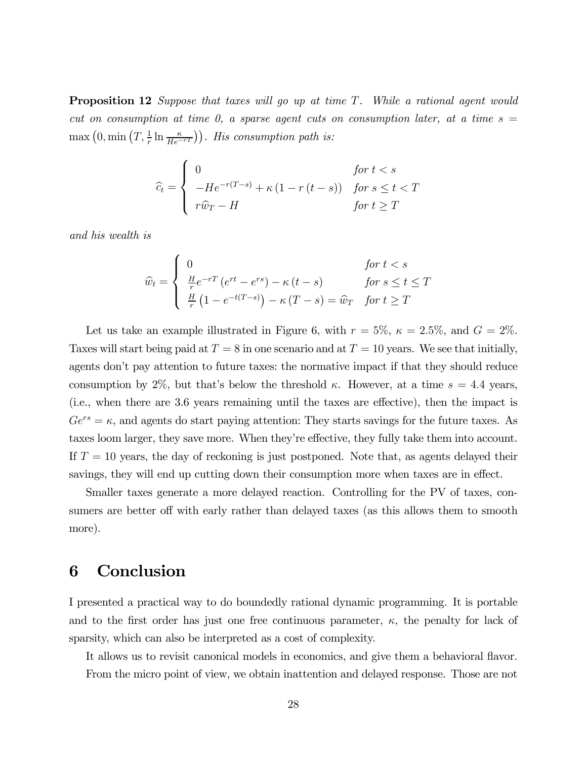**Proposition 12** Suppose that taxes will go up at time  $T$ . While a rational agent would cut on consumption at time 0, a sparse agent cuts on consumption later, at a time  $s =$  $\max(0, \min(T, \frac{1}{r} \ln \frac{\kappa}{He^{-rT}})).$  His consumption path is:

$$
\widehat{c}_t = \begin{cases}\n0 & \text{for } t < s \\
-He^{-r(T-s)} + \kappa (1 - r(t - s)) & \text{for } s \le t < T \\
r\widehat{w}_T - H & \text{for } t \ge T\n\end{cases}
$$

and his wealth is

$$
\widehat{w}_t = \begin{cases}\n0 & \text{for } t < s \\
\frac{H}{r} e^{-rT} \left( e^{rt} - e^{rs} \right) - \kappa \left( t - s \right) & \text{for } s \le t \le T \\
\frac{H}{r} \left( 1 - e^{-t(T-s)} \right) - \kappa \left( T - s \right) = \widehat{w}_T & \text{for } t \ge T\n\end{cases}
$$

Let us take an example illustrated in Figure 6, with  $r = 5\%$ ,  $\kappa = 2.5\%$ , and  $G = 2\%$ . Taxes will start being paid at  $T = 8$  in one scenario and at  $T = 10$  years. We see that initially, agents don't pay attention to future taxes: the normative impact if that they should reduce consumption by 2%, but that's below the threshold  $\kappa$ . However, at a time  $s = 4.4$  years, (i.e., when there are 3.6 years remaining until the taxes are effective), then the impact is  $Ge^{rs} = \kappa$ , and agents do start paying attention: They starts savings for the future taxes. As taxes loom larger, they save more. When they're effective, they fully take them into account. If  $T = 10$  years, the day of reckoning is just postponed. Note that, as agents delayed their savings, they will end up cutting down their consumption more when taxes are in effect.

Smaller taxes generate a more delayed reaction. Controlling for the PV of taxes, consumers are better off with early rather than delayed taxes (as this allows them to smooth more).

### 6 Conclusion

I presented a practical way to do boundedly rational dynamic programming. It is portable and to the first order has just one free continuous parameter,  $\kappa$ , the penalty for lack of sparsity, which can also be interpreted as a cost of complexity.

It allows us to revisit canonical models in economics, and give them a behavioral flavor. From the micro point of view, we obtain inattention and delayed response. Those are not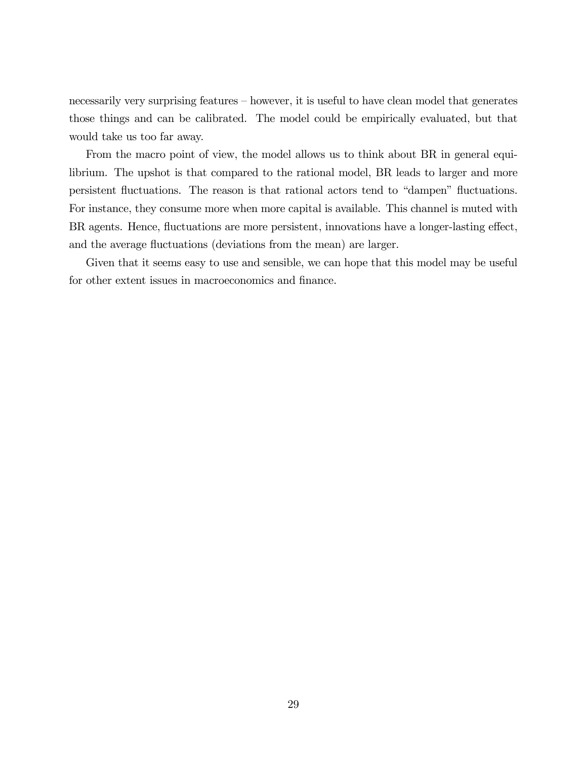necessarily very surprising features — however, it is useful to have clean model that generates those things and can be calibrated. The model could be empirically evaluated, but that would take us too far away.

From the macro point of view, the model allows us to think about BR in general equilibrium. The upshot is that compared to the rational model, BR leads to larger and more persistent fluctuations. The reason is that rational actors tend to "dampen" fluctuations. For instance, they consume more when more capital is available. This channel is muted with BR agents. Hence, fluctuations are more persistent, innovations have a longer-lasting effect, and the average fluctuations (deviations from the mean) are larger.

Given that it seems easy to use and sensible, we can hope that this model may be useful for other extent issues in macroeconomics and finance.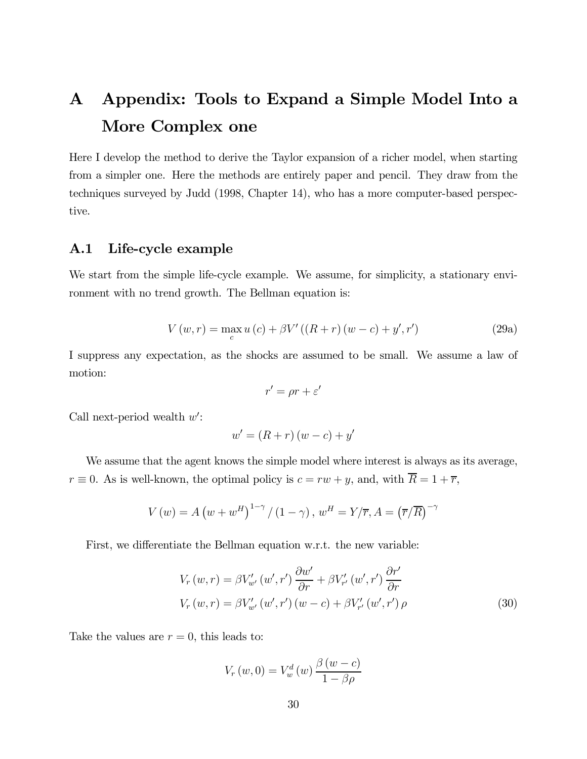# A Appendix: Tools to Expand a Simple Model Into a More Complex one

Here I develop the method to derive the Taylor expansion of a richer model, when starting from a simpler one. Here the methods are entirely paper and pencil. They draw from the techniques surveyed by Judd (1998, Chapter 14), who has a more computer-based perspective.

### A.1 Life-cycle example

We start from the simple life-cycle example. We assume, for simplicity, a stationary environment with no trend growth. The Bellman equation is:

$$
V(w,r) = \max_{c} u(c) + \beta V'((R+r)(w-c) + y',r')
$$
 (29a)

I suppress any expectation, as the shocks are assumed to be small. We assume a law of motion:

$$
r' = \rho r + \varepsilon'
$$

Call next-period wealth  $w'$ :

$$
w' = (R+r)(w-c) + y'
$$

We assume that the agent knows the simple model where interest is always as its average,  $r \equiv 0$ . As is well-known, the optimal policy is  $c = rw + y$ , and, with  $\overline{R} = 1 + \overline{r}$ ,

$$
V(w) = A (w + w^{H})^{1-\gamma} / (1 - \gamma), w^{H} = Y/\overline{r}, A = (\overline{r}/\overline{R})^{-\gamma}
$$

First, we differentiate the Bellman equation w.r.t. the new variable:

$$
V_r(w,r) = \beta V'_{w'}(w',r') \frac{\partial w'}{\partial r} + \beta V'_{r'}(w',r') \frac{\partial r'}{\partial r}
$$
  

$$
V_r(w,r) = \beta V'_{w'}(w',r')(w-c) + \beta V'_{r'}(w',r') \rho
$$
 (30)

Take the values are  $r = 0$ , this leads to:

$$
V_r(w, 0) = V_w^d(w) \frac{\beta(w - c)}{1 - \beta \rho}
$$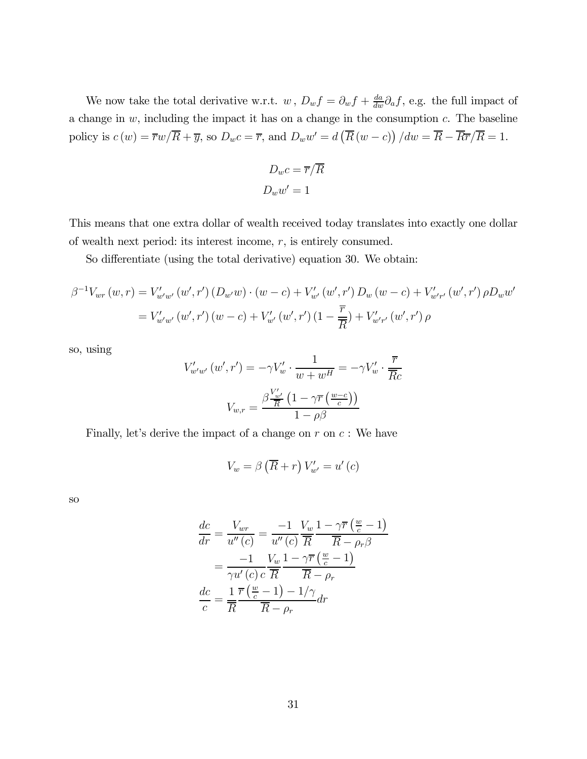We now take the total derivative w.r.t.  $w$ ,  $D_w f = \partial_w f + \frac{da}{dw} \partial_a f$ , e.g. the full impact of a change in  $w$ , including the impact it has on a change in the consumption  $c$ . The baseline policy is  $c(w) = \overline{r}w/\overline{R} + \overline{y}$ , so  $D_w c = \overline{r}$ , and  $D_w w' = d(\overline{R}(w-c)) / dw = \overline{R} - \overline{R}\overline{r}/\overline{R} = 1$ .

$$
D_w c = \overline{r}/\overline{R}
$$

$$
D_w w' = 1
$$

This means that one extra dollar of wealth received today translates into exactly one dollar of wealth next period: its interest income,  $r$ , is entirely consumed.

So differentiate (using the total derivative) equation 30. We obtain:

$$
\beta^{-1}V_{wr}(w,r) = V'_{w'w'}(w',r') (D_{w'}w) \cdot (w-c) + V'_{w'}(w',r') D_w(w-c) + V'_{w'r'}(w',r') \rho D_w w'
$$
  
=  $V'_{w'w'}(w',r') (w-c) + V'_{w'}(w',r') (1-\frac{\overline{r}}{R}) + V'_{w'r'}(w',r') \rho$ 

so, using

$$
V'_{w'w'}(w',r') = -\gamma V'_{w} \cdot \frac{1}{w+w^H} = -\gamma V'_{w} \cdot \frac{\overline{r}}{\overline{R}c}
$$

$$
V_{w,r} = \frac{\beta \frac{V'_{w'}}{\overline{R}} \left(1 - \gamma \overline{r} \left(\frac{w-c}{c}\right)\right)}{1 - \rho \beta}
$$

Finally, let's derive the impact of a change on  $r$  on  $c$ : We have

$$
V_w = \beta \left(\overline{R} + r\right) V'_{w'} = u'\left(c\right)
$$

so

$$
\frac{dc}{dr} = \frac{V_{wr}}{u''(c)} = \frac{-1}{u''(c)} \frac{V_w}{\overline{R}} \frac{1 - \gamma \overline{r} (\frac{w}{c} - 1)}{\overline{R} - \rho_r \beta}
$$

$$
= \frac{-1}{\gamma u'(c) c} \frac{V_w}{\overline{R}} \frac{1 - \gamma \overline{r} (\frac{w}{c} - 1)}{\overline{R} - \rho_r}
$$

$$
\frac{dc}{c} = \frac{1}{\overline{R}} \frac{\overline{r} (\frac{w}{c} - 1) - 1/\gamma}{\overline{R} - \rho_r} dr
$$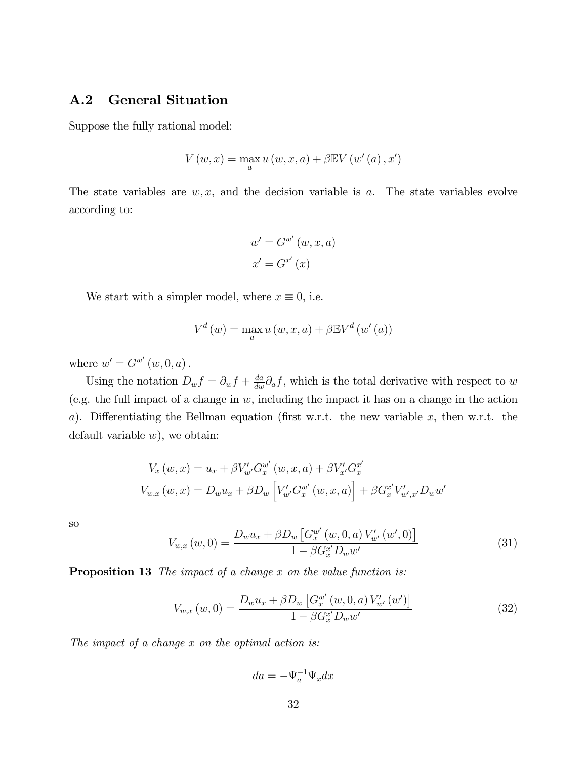### A.2 General Situation

Suppose the fully rational model:

$$
V(w, x) = \max_{a} u(w, x, a) + \beta \mathbb{E} V(w'(a), x')
$$

The state variables are  $w, x$ , and the decision variable is  $a$ . The state variables evolve according to:

$$
w' = G^{w'}(w, x, a)
$$

$$
x' = G^{x'}(x)
$$

We start with a simpler model, where  $x \equiv 0$ , i.e.

$$
V^d(w) = \max_{a} u(w, x, a) + \beta \mathbb{E} V^d(w'(a))
$$

where  $w' = G^{w'}(w, 0, a)$ .

Using the notation  $D_w f = \partial_w f + \frac{da}{dw} \partial_a f$ , which is the total derivative with respect to w (e.g. the full impact of a change in  $w$ , including the impact it has on a change in the action a). Differentiating the Bellman equation (first w.r.t. the new variable  $x$ , then w.r.t. the default variable  $w$ ), we obtain:

$$
V_x(w, x) = u_x + \beta V'_{w'} G_x^{w'}(w, x, a) + \beta V'_{x'} G_x^{x'}
$$
  

$$
V_{w,x}(w, x) = D_w u_x + \beta D_w \left[ V'_{w'} G_x^{w'}(w, x, a) \right] + \beta G_x^{x'} V'_{w', x'} D_w w'
$$

so

$$
V_{w,x}(w,0) = \frac{D_w u_x + \beta D_w \left[ G_x^{w'}(w,0,a) V_{w'}'(w',0) \right]}{1 - \beta G_x^{x'} D_w w'}
$$
(31)

**Proposition 13** The impact of a change  $x$  on the value function is:

$$
V_{w,x}(w,0) = \frac{D_w u_x + \beta D_w \left[ G_x^{w'}(w,0,a) V'_{w'}(w') \right]}{1 - \beta G_x^{x'} D_w w'}
$$
(32)

The impact of a change  $x$  on the optimal action is:

 $da = -\Psi_a^{-1} \Psi_x dx$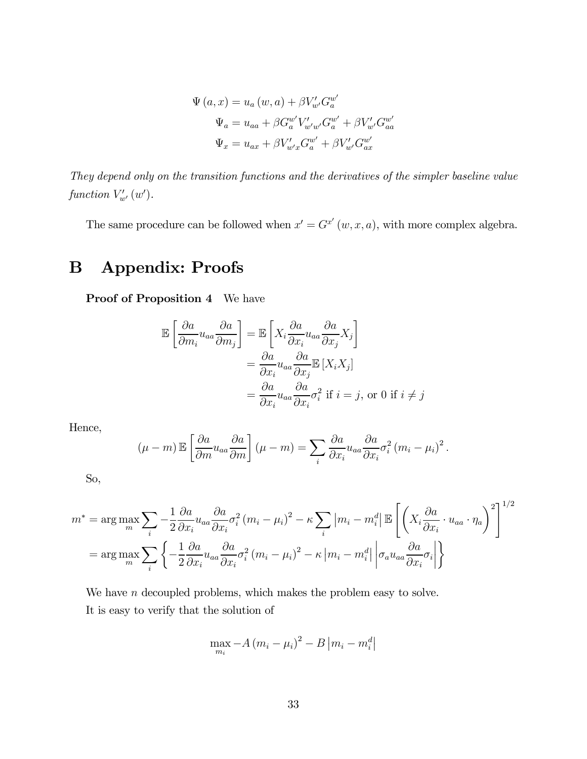$$
\Psi (a, x) = u_a (w, a) + \beta V'_{w'} G_a^{w'}
$$

$$
\Psi_a = u_{aa} + \beta G_a^{w'} V'_{w'w'} G_a^{w'} + \beta V'_{w'} G_{aa}^{w'}
$$

$$
\Psi_x = u_{ax} + \beta V'_{w'} g_{a'}^{w'} + \beta V'_{w'} G_{ax}^{w'}
$$

They depend only on the transition functions and the derivatives of the simpler baseline value function  $V'_{w'}(w')$ .

The same procedure can be followed when  $x' = G^{x'}(w, x, a)$ , with more complex algebra.

# B Appendix: Proofs

Proof of Proposition 4 We have

$$
\mathbb{E}\left[\frac{\partial a}{\partial m_i} u_{aa} \frac{\partial a}{\partial m_j}\right] = \mathbb{E}\left[X_i \frac{\partial a}{\partial x_i} u_{aa} \frac{\partial a}{\partial x_j} X_j\right]
$$

$$
= \frac{\partial a}{\partial x_i} u_{aa} \frac{\partial a}{\partial x_j} \mathbb{E}\left[X_i X_j\right]
$$

$$
= \frac{\partial a}{\partial x_i} u_{aa} \frac{\partial a}{\partial x_i} \sigma_i^2 \text{ if } i = j, \text{ or } 0 \text{ if } i \neq j
$$

Hence,

$$
(\mu - m) \mathbb{E} \left[ \frac{\partial a}{\partial m} u_{aa} \frac{\partial a}{\partial m} \right] (\mu - m) = \sum_i \frac{\partial a}{\partial x_i} u_{aa} \frac{\partial a}{\partial x_i} \sigma_i^2 (m_i - \mu_i)^2.
$$

So,

$$
m^* = \arg \max_{m} \sum_{i} -\frac{1}{2} \frac{\partial a}{\partial x_i} u_{aa} \frac{\partial a}{\partial x_i} \sigma_i^2 (m_i - \mu_i)^2 - \kappa \sum_{i} |m_i - m_i^d| \mathbb{E} \left[ \left( X_i \frac{\partial a}{\partial x_i} \cdot u_{aa} \cdot \eta_a \right)^2 \right]^{1/2}
$$

$$
= \arg \max_{m} \sum_{i} \left\{ -\frac{1}{2} \frac{\partial a}{\partial x_i} u_{aa} \frac{\partial a}{\partial x_i} \sigma_i^2 (m_i - \mu_i)^2 - \kappa |m_i - m_i^d| \left| \sigma_a u_{aa} \frac{\partial a}{\partial x_i} \sigma_i \right| \right\}
$$

We have  $n$  decoupled problems, which makes the problem easy to solve. It is easy to verify that the solution of

$$
\max_{m_i} -A (m_i - \mu_i)^2 - B |m_i - m_i^d|
$$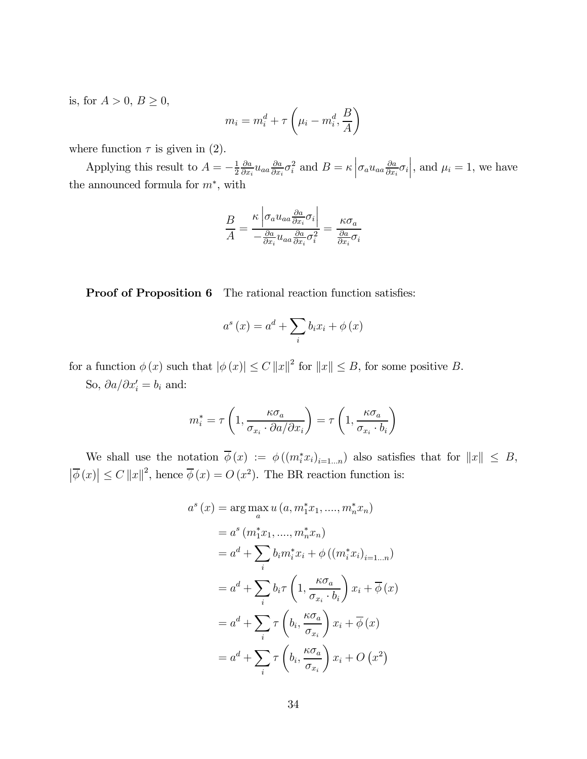is, for  $A > 0$ ,  $B \ge 0$ ,

$$
m_i = m_i^d + \tau \left(\mu_i - m_i^d, \frac{B}{A}\right)
$$

where function  $\tau$  is given in (2).

Applying this result to  $A = -\frac{1}{2}$  $\partial a$  $\frac{\partial a}{\partial x_i} u_{aa} \frac{\partial a}{\partial x_i} \sigma_i^2$  and  $B = \kappa \left| \sigma_a u_{aa} \frac{\partial a}{\partial x_i} \sigma_i \right|$ , and  $\mu_i = 1$ , we have the announced formula for  $m^*$ , with

$$
\frac{B}{A} = \frac{\kappa \left| \sigma_a u_{aa} \frac{\partial a}{\partial x_i} \sigma_i \right|}{-\frac{\partial a}{\partial x_i} u_{aa} \frac{\partial a}{\partial x_i} \sigma_i^2} = \frac{\kappa \sigma_a}{\frac{\partial a}{\partial x_i} \sigma_i}
$$

Proof of Proposition 6 The rational reaction function satisfies:

$$
a^{s}(x) = a^{d} + \sum_{i} b_{i}x_{i} + \phi(x)
$$

for a function  $\phi(x)$  such that  $|\phi(x)| \leq C ||x||^2$  for  $||x|| \leq B$ , for some positive B.

So,  $\partial a/\partial x_i' = b_i$  and:

$$
m_i^* = \tau \left( 1, \frac{\kappa \sigma_a}{\sigma_{x_i} \cdot \partial a / \partial x_i} \right) = \tau \left( 1, \frac{\kappa \sigma_a}{\sigma_{x_i} \cdot b_i} \right)
$$

We shall use the notation  $\phi(x) := \phi((m_i^* x_i)_{i=1...n})$  also satisfies that for  $||x|| \leq B$ ,  $|\overline{\phi}(x)| \leq C ||x||^2$ , hence  $\overline{\phi}(x) = O(x^2)$ . The BR reaction function is:

$$
a^{s}(x) = \arg\max_{a} u (a, m_{1}^{*}x_{1}, ..., m_{n}^{*}x_{n})
$$
  
\n
$$
= a^{s}(m_{1}^{*}x_{1}, ..., m_{n}^{*}x_{n})
$$
  
\n
$$
= a^{d} + \sum_{i} b_{i}m_{i}^{*}x_{i} + \phi ((m_{i}^{*}x_{i})_{i=1...n})
$$
  
\n
$$
= a^{d} + \sum_{i} b_{i}\tau \left(1, \frac{\kappa\sigma_{a}}{\sigma_{x_{i}} \cdot b_{i}}\right)x_{i} + \overline{\phi}(x)
$$
  
\n
$$
= a^{d} + \sum_{i} \tau \left(b_{i}, \frac{\kappa\sigma_{a}}{\sigma_{x_{i}}}\right)x_{i} + \overline{\phi}(x)
$$
  
\n
$$
= a^{d} + \sum_{i} \tau \left(b_{i}, \frac{\kappa\sigma_{a}}{\sigma_{x_{i}}}\right)x_{i} + O(x^{2})
$$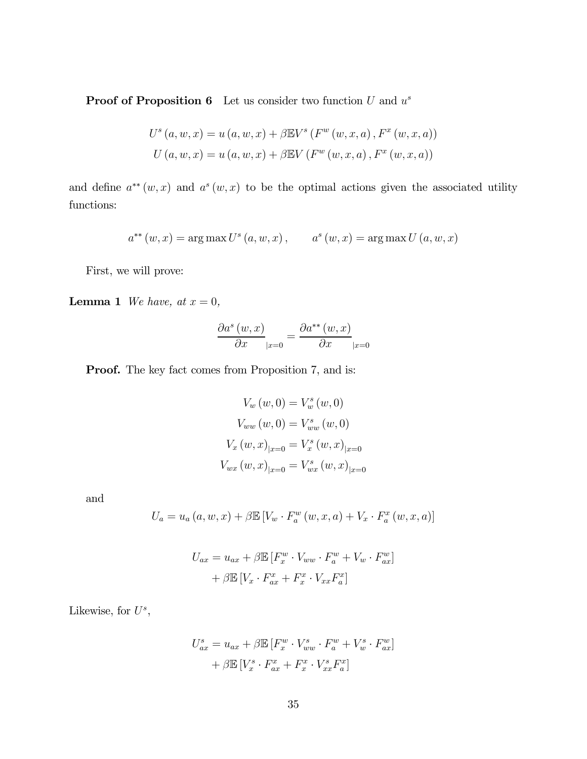**Proof of Proposition 6** Let us consider two function  $U$  and  $u^s$ 

$$
U^{s}(a, w, x) = u(a, w, x) + \beta \mathbb{E} V^{s}(F^{w}(w, x, a), F^{x}(w, x, a))
$$
  

$$
U(a, w, x) = u(a, w, x) + \beta \mathbb{E} V(F^{w}(w, x, a), F^{x}(w, x, a))
$$

and define  $a^{**}(w, x)$  and  $a^{s}(w, x)$  to be the optimal actions given the associated utility functions:

$$
a^{**}(w, x) = \arg \max U^s(a, w, x), \qquad a^s(w, x) = \arg \max U(a, w, x)
$$

First, we will prove:

**Lemma 1** We have, at  $x = 0$ ,

$$
\frac{\partial a^s(w, x)}{\partial x}|_{x=0} = \frac{\partial a^{**}(w, x)}{\partial x}|_{x=0}
$$

Proof. The key fact comes from Proposition 7, and is:

$$
V_w(w, 0) = V_w^s(w, 0)
$$
  
\n
$$
V_{ww}(w, 0) = V_{ww}^s(w, 0)
$$
  
\n
$$
V_x(w, x)_{|x=0} = V_x^s(w, x)_{|x=0}
$$
  
\n
$$
V_{wx}(w, x)_{|x=0} = V_{wx}^s(w, x)_{|x=0}
$$

and

$$
U_a = u_a(a, w, x) + \beta \mathbb{E}\left[V_w \cdot F_a^w(w, x, a) + V_x \cdot F_a^x(w, x, a)\right]
$$

$$
U_{ax} = u_{ax} + \beta \mathbb{E} [F_x^w \cdot V_{ww} \cdot F_a^w + V_w \cdot F_{ax}^w]
$$

$$
+ \beta \mathbb{E} [V_x \cdot F_{ax}^x + F_x^x \cdot V_{xx} F_a^x]
$$

Likewise, for  $U^s$ ,

$$
U_{ax}^s = u_{ax} + \beta \mathbb{E} [F_x^w \cdot V_{ww}^s \cdot F_a^w + V_v^s \cdot F_{ax}^w]
$$

$$
+ \beta \mathbb{E} [V_x^s \cdot F_{ax}^x + F_x^x \cdot V_{xx}^s F_a^x]
$$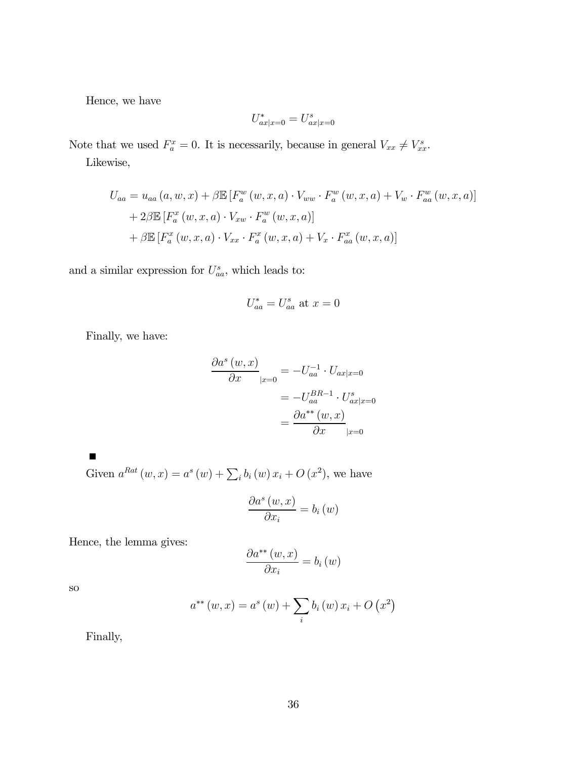Hence, we have

$$
U^*_{ax\vert x=0}=U^s_{ax\vert x=0}
$$

Note that we used  $F_a^x = 0$ . It is necessarily, because in general  $V_{xx} \neq V_{xx}^s$ .

Likewise,

$$
U_{aa} = u_{aa}(a, w, x) + \beta \mathbb{E} \left[ F_a^w(w, x, a) \cdot V_{ww} \cdot F_a^w(w, x, a) + V_w \cdot F_{aa}^w(w, x, a) \right]
$$
  
+ 2\beta \mathbb{E} \left[ F\_a^x(w, x, a) \cdot V\_{xw} \cdot F\_a^w(w, x, a) \right]  
+ \beta \mathbb{E} \left[ F\_a^x(w, x, a) \cdot V\_{xx} \cdot F\_a^x(w, x, a) + V\_x \cdot F\_{aa}^x(w, x, a) \right]

and a similar expression for  $U_{aa}^s$ , which leads to:

$$
U_{aa}^* = U_{aa}^s \text{ at } x = 0
$$

Finally, we have:

$$
\frac{\partial a^s (w, x)}{\partial x}|_{x=0} = -U_{aa}^{-1} \cdot U_{ax|x=0}
$$

$$
= -U_{aa}^{BR-1} \cdot U_{ax|x=0}^s
$$

$$
= \frac{\partial a^{**} (w, x)}{\partial x}|_{x=0}
$$

 $\blacksquare$ 

Given  $a^{Rat}(w, x) = a^{s}(w) + \sum_{i} b_{i}(w) x_{i} + O(x^{2}),$  we have

$$
\frac{\partial a^s(w,x)}{\partial x_i} = b_i(w)
$$

Hence, the lemma gives:

$$
\frac{\partial a^{**}(w,x)}{\partial x_i} = b_i(w)
$$

so

$$
a^{**}(w, x) = a^{s}(w) + \sum_{i} b_{i}(w) x_{i} + O(x^{2})
$$

Finally,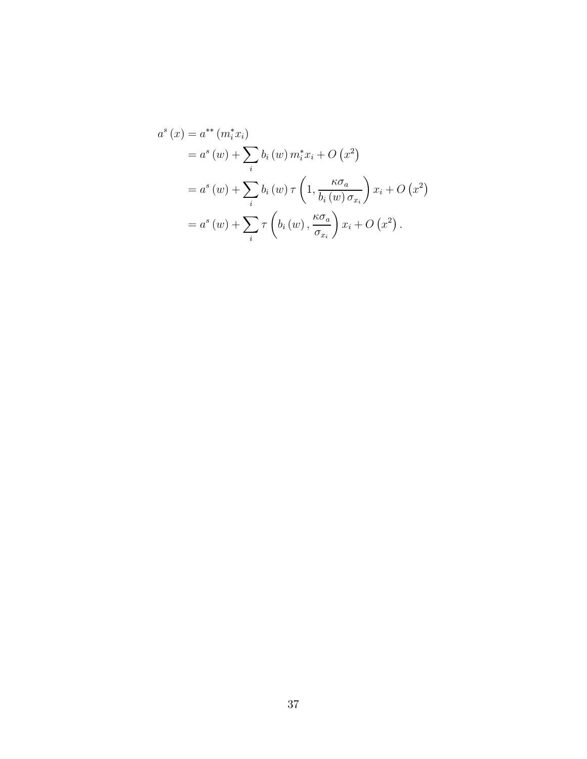$$
a^{s}(x) = a^{**}(m_{i}^{*}x_{i})
$$
  
=  $a^{s}(w) + \sum_{i} b_{i}(w) m_{i}^{*}x_{i} + O(x^{2})$   
=  $a^{s}(w) + \sum_{i} b_{i}(w) \tau \left(1, \frac{\kappa \sigma_{a}}{b_{i}(w) \sigma_{x_{i}}}\right) x_{i} + O(x^{2})$   
=  $a^{s}(w) + \sum_{i} \tau \left(b_{i}(w), \frac{\kappa \sigma_{a}}{\sigma_{x_{i}}}\right) x_{i} + O(x^{2}).$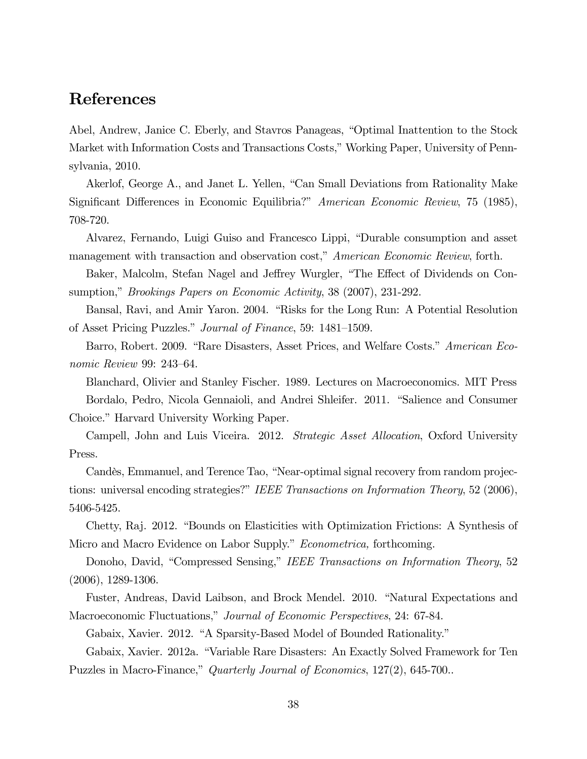### References

Abel, Andrew, Janice C. Eberly, and Stavros Panageas, "Optimal Inattention to the Stock Market with Information Costs and Transactions Costs," Working Paper, University of Pennsylvania, 2010.

Akerlof, George A., and Janet L. Yellen, "Can Small Deviations from Rationality Make Significant Differences in Economic Equilibria?" American Economic Review, 75 (1985), 708-720.

Alvarez, Fernando, Luigi Guiso and Francesco Lippi, "Durable consumption and asset management with transaction and observation cost," American Economic Review, forth.

Baker, Malcolm, Stefan Nagel and Jeffrey Wurgler, "The Effect of Dividends on Consumption," Brookings Papers on Economic Activity, 38 (2007), 231-292.

Bansal, Ravi, and Amir Yaron. 2004. "Risks for the Long Run: A Potential Resolution of Asset Pricing Puzzles." Journal of Finance, 59: 1481—1509.

Barro, Robert. 2009. "Rare Disasters, Asset Prices, and Welfare Costs." American Economic Review 99: 243—64.

Blanchard, Olivier and Stanley Fischer. 1989. Lectures on Macroeconomics. MIT Press Bordalo, Pedro, Nicola Gennaioli, and Andrei Shleifer. 2011. "Salience and Consumer Choice." Harvard University Working Paper.

Campell, John and Luis Viceira. 2012. *Strategic Asset Allocation*, Oxford University Press.

Candès, Emmanuel, and Terence Tao, "Near-optimal signal recovery from random projections: universal encoding strategies?" IEEE Transactions on Information Theory, 52 (2006), 5406-5425.

Chetty, Raj. 2012. "Bounds on Elasticities with Optimization Frictions: A Synthesis of Micro and Macro Evidence on Labor Supply." Econometrica, forthcoming.

Donoho, David, "Compressed Sensing," IEEE Transactions on Information Theory, 52 (2006), 1289-1306.

Fuster, Andreas, David Laibson, and Brock Mendel. 2010. "Natural Expectations and Macroeconomic Fluctuations," Journal of Economic Perspectives, 24: 67-84.

Gabaix, Xavier. 2012. "A Sparsity-Based Model of Bounded Rationality."

Gabaix, Xavier. 2012a. "Variable Rare Disasters: An Exactly Solved Framework for Ten Puzzles in Macro-Finance," Quarterly Journal of Economics, 127(2), 645-700..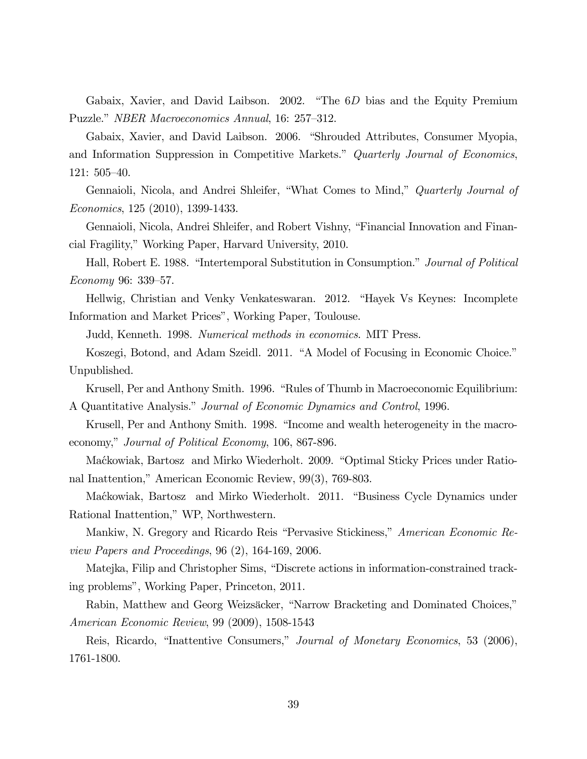Gabaix, Xavier, and David Laibson. 2002. "The 6D bias and the Equity Premium Puzzle." NBER Macroeconomics Annual, 16: 257—312.

Gabaix, Xavier, and David Laibson. 2006. "Shrouded Attributes, Consumer Myopia, and Information Suppression in Competitive Markets." Quarterly Journal of Economics, 121: 505—40.

Gennaioli, Nicola, and Andrei Shleifer, "What Comes to Mind," Quarterly Journal of Economics, 125 (2010), 1399-1433.

Gennaioli, Nicola, Andrei Shleifer, and Robert Vishny, "Financial Innovation and Financial Fragility," Working Paper, Harvard University, 2010.

Hall, Robert E. 1988. "Intertemporal Substitution in Consumption." Journal of Political Economy 96: 339—57.

Hellwig, Christian and Venky Venkateswaran. 2012. "Hayek Vs Keynes: Incomplete Information and Market Prices", Working Paper, Toulouse.

Judd, Kenneth. 1998. Numerical methods in economics. MIT Press.

Koszegi, Botond, and Adam Szeidl. 2011. "A Model of Focusing in Economic Choice." Unpublished.

Krusell, Per and Anthony Smith. 1996. "Rules of Thumb in Macroeconomic Equilibrium: A Quantitative Analysis." Journal of Economic Dynamics and Control, 1996.

Krusell, Per and Anthony Smith. 1998. "Income and wealth heterogeneity in the macroeconomy," Journal of Political Economy, 106, 867-896.

Ma´ckowiak, Bartosz and Mirko Wiederholt. 2009. "Optimal Sticky Prices under Rational Inattention," American Economic Review, 99(3), 769-803.

Ma´ckowiak, Bartosz and Mirko Wiederholt. 2011. "Business Cycle Dynamics under Rational Inattention," WP, Northwestern.

Mankiw, N. Gregory and Ricardo Reis "Pervasive Stickiness," American Economic Review Papers and Proceedings, 96 (2), 164-169, 2006.

Matejka, Filip and Christopher Sims, "Discrete actions in information-constrained tracking problems", Working Paper, Princeton, 2011.

Rabin, Matthew and Georg Weizsäcker, "Narrow Bracketing and Dominated Choices," American Economic Review, 99 (2009), 1508-1543

Reis, Ricardo, "Inattentive Consumers," Journal of Monetary Economics, 53 (2006), 1761-1800.